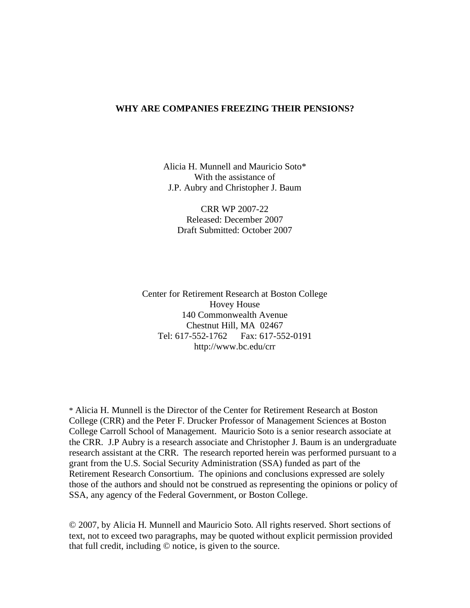#### **WHY ARE COMPANIES FREEZING THEIR PENSIONS?**

Alicia H. Munnell and Mauricio Soto\* With the assistance of J.P. Aubry and Christopher J. Baum

CRR WP 2007-22 Released: December 2007 Draft Submitted: October 2007

Center for Retirement Research at Boston College Hovey House 140 Commonwealth Avenue Chestnut Hill, MA 02467 Tel: 617-552-1762 Fax: 617-552-0191 http://www.bc.edu/crr

\* Alicia H. Munnell is the Director of the Center for Retirement Research at Boston College (CRR) and the Peter F. Drucker Professor of Management Sciences at Boston College Carroll School of Management. Mauricio Soto is a senior research associate at the CRR. J.P Aubry is a research associate and Christopher J. Baum is an undergraduate research assistant at the CRR. The research reported herein was performed pursuant to a grant from the U.S. Social Security Administration (SSA) funded as part of the Retirement Research Consortium. The opinions and conclusions expressed are solely those of the authors and should not be construed as representing the opinions or policy of SSA, any agency of the Federal Government, or Boston College.

© 2007, by Alicia H. Munnell and Mauricio Soto. All rights reserved. Short sections of text, not to exceed two paragraphs, may be quoted without explicit permission provided that full credit, including © notice, is given to the source.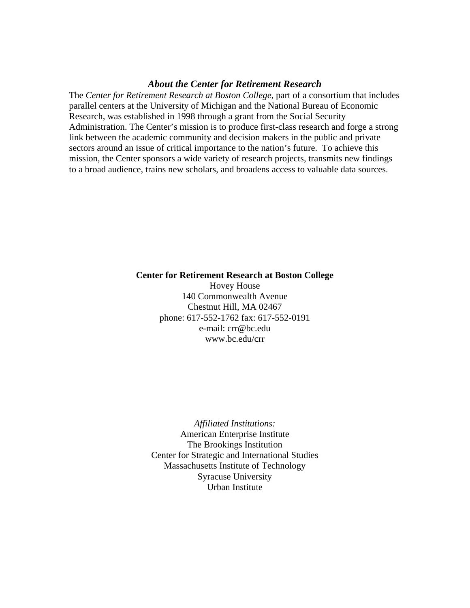# *About the Center for Retirement Research*

The *Center for Retirement Research at Boston College*, part of a consortium that includes parallel centers at the University of Michigan and the National Bureau of Economic Research, was established in 1998 through a grant from the Social Security Administration. The Center's mission is to produce first-class research and forge a strong link between the academic community and decision makers in the public and private sectors around an issue of critical importance to the nation's future. To achieve this mission, the Center sponsors a wide variety of research projects, transmits new findings to a broad audience, trains new scholars, and broadens access to valuable data sources.

#### **Center for Retirement Research at Boston College**

Hovey House 140 Commonwealth Avenue Chestnut Hill, MA 02467 phone: 617-552-1762 fax: 617-552-0191 e-mail: crr@bc.edu www.bc.edu/crr

*Affiliated Institutions:*  American Enterprise Institute The Brookings Institution Center for Strategic and International Studies Massachusetts Institute of Technology Syracuse University Urban Institute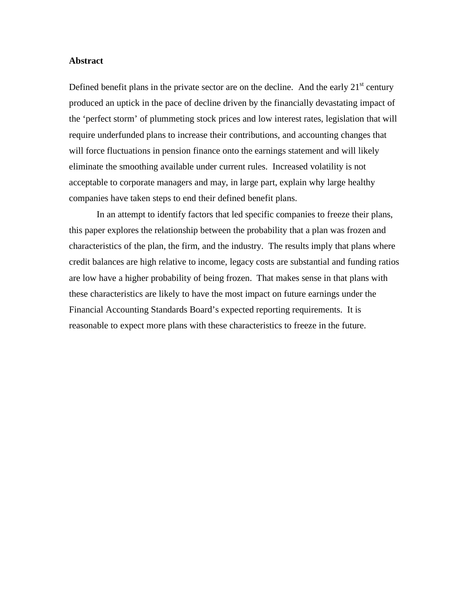# **Abstract**

Defined benefit plans in the private sector are on the decline. And the early  $21<sup>st</sup>$  century produced an uptick in the pace of decline driven by the financially devastating impact of the 'perfect storm' of plummeting stock prices and low interest rates, legislation that will require underfunded plans to increase their contributions, and accounting changes that will force fluctuations in pension finance onto the earnings statement and will likely eliminate the smoothing available under current rules. Increased volatility is not acceptable to corporate managers and may, in large part, explain why large healthy companies have taken steps to end their defined benefit plans.

In an attempt to identify factors that led specific companies to freeze their plans, this paper explores the relationship between the probability that a plan was frozen and characteristics of the plan, the firm, and the industry. The results imply that plans where credit balances are high relative to income, legacy costs are substantial and funding ratios are low have a higher probability of being frozen. That makes sense in that plans with these characteristics are likely to have the most impact on future earnings under the Financial Accounting Standards Board's expected reporting requirements. It is reasonable to expect more plans with these characteristics to freeze in the future.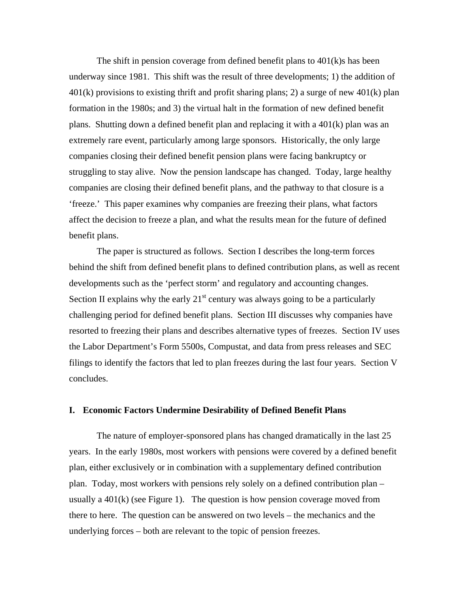The shift in pension coverage from defined benefit plans to 401(k)s has been underway since 1981. This shift was the result of three developments; 1) the addition of  $401(k)$  provisions to existing thrift and profit sharing plans; 2) a surge of new  $401(k)$  plan formation in the 1980s; and 3) the virtual halt in the formation of new defined benefit plans. Shutting down a defined benefit plan and replacing it with a 401(k) plan was an extremely rare event, particularly among large sponsors. Historically, the only large companies closing their defined benefit pension plans were facing bankruptcy or struggling to stay alive. Now the pension landscape has changed. Today, large healthy companies are closing their defined benefit plans, and the pathway to that closure is a 'freeze.' This paper examines why companies are freezing their plans, what factors affect the decision to freeze a plan, and what the results mean for the future of defined benefit plans.

The paper is structured as follows. Section I describes the long-term forces behind the shift from defined benefit plans to defined contribution plans, as well as recent developments such as the 'perfect storm' and regulatory and accounting changes. Section II explains why the early  $21<sup>st</sup>$  century was always going to be a particularly challenging period for defined benefit plans. Section III discusses why companies have resorted to freezing their plans and describes alternative types of freezes. Section IV uses the Labor Department's Form 5500s, Compustat, and data from press releases and SEC filings to identify the factors that led to plan freezes during the last four years. Section V concludes.

## **I. Economic Factors Undermine Desirability of Defined Benefit Plans**

The nature of employer-sponsored plans has changed dramatically in the last 25 years. In the early 1980s, most workers with pensions were covered by a defined benefit plan, either exclusively or in combination with a supplementary defined contribution plan. Today, most workers with pensions rely solely on a defined contribution plan – usually a  $401(k)$  (see Figure 1). The question is how pension coverage moved from there to here. The question can be answered on two levels – the mechanics and the underlying forces – both are relevant to the topic of pension freezes.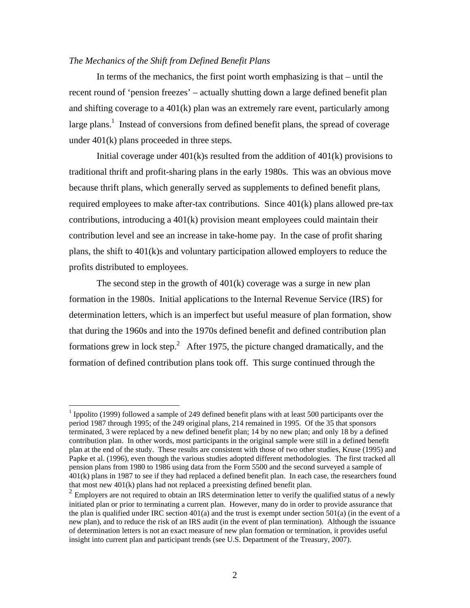# *The Mechanics of the Shift from Defined Benefit Plans*

 $\overline{a}$ 

In terms of the mechanics, the first point worth emphasizing is that – until the recent round of 'pension freezes' – actually shutting down a large defined benefit plan and shifting coverage to a  $401(k)$  plan was an extremely rare event, particularly among large plans.<sup>1</sup> Instead of conversions from defined benefit plans, the spread of coverage under 401(k) plans proceeded in three steps.

Initial coverage under 401(k)s resulted from the addition of 401(k) provisions to traditional thrift and profit-sharing plans in the early 1980s. This was an obvious move because thrift plans, which generally served as supplements to defined benefit plans, required employees to make after-tax contributions. Since 401(k) plans allowed pre-tax contributions, introducing a  $401(k)$  provision meant employees could maintain their contribution level and see an increase in take-home pay. In the case of profit sharing plans, the shift to 401(k)s and voluntary participation allowed employers to reduce the profits distributed to employees.

The second step in the growth of  $401(k)$  coverage was a surge in new plan formation in the 1980s. Initial applications to the Internal Revenue Service (IRS) for determination letters, which is an imperfect but useful measure of plan formation, show that during the 1960s and into the 1970s defined benefit and defined contribution plan formations grew in lock step.<sup>2</sup> After 1975, the picture changed dramatically, and the formation of defined contribution plans took off. This surge continued through the

<sup>&</sup>lt;sup>1</sup> Ippolito (1999) followed a sample of 249 defined benefit plans with at least 500 participants over the period 1987 through 1995; of the 249 original plans, 214 remained in 1995. Of the 35 that sponsors terminated, 3 were replaced by a new defined benefit plan; 14 by no new plan; and only 18 by a defined contribution plan. In other words, most participants in the original sample were still in a defined benefit plan at the end of the study. These results are consistent with those of two other studies, Kruse (1995) and Papke et al. (1996), even though the various studies adopted different methodologies. The first tracked all pension plans from 1980 to 1986 using data from the Form 5500 and the second surveyed a sample of 401(k) plans in 1987 to see if they had replaced a defined benefit plan. In each case, the researchers found that most new 401(k) plans had not replaced a preexisting defined benefit plan.

 $2$  Employers are not required to obtain an IRS determination letter to verify the qualified status of a newly initiated plan or prior to terminating a current plan. However, many do in order to provide assurance that the plan is qualified under IRC section  $401(a)$  and the trust is exempt under section  $501(a)$  (in the event of a new plan), and to reduce the risk of an IRS audit (in the event of plan termination). Although the issuance of determination letters is not an exact measure of new plan formation or termination, it provides useful insight into current plan and participant trends (see U.S. Department of the Treasury, 2007).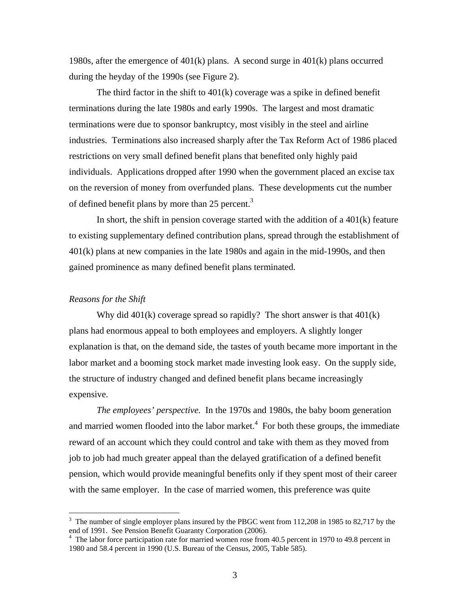1980s, after the emergence of 401(k) plans. A second surge in 401(k) plans occurred during the heyday of the 1990s (see Figure 2).

The third factor in the shift to 401(k) coverage was a spike in defined benefit terminations during the late 1980s and early 1990s. The largest and most dramatic terminations were due to sponsor bankruptcy, most visibly in the steel and airline industries. Terminations also increased sharply after the Tax Reform Act of 1986 placed restrictions on very small defined benefit plans that benefited only highly paid individuals. Applications dropped after 1990 when the government placed an excise tax on the reversion of money from overfunded plans. These developments cut the number of defined benefit plans by more than 25 percent.<sup>3</sup>

In short, the shift in pension coverage started with the addition of a  $401(k)$  feature to existing supplementary defined contribution plans, spread through the establishment of 401(k) plans at new companies in the late 1980s and again in the mid-1990s, and then gained prominence as many defined benefit plans terminated.

# *Reasons for the Shift*

 $\overline{a}$ 

Why did 401(k) coverage spread so rapidly? The short answer is that 401(k) plans had enormous appeal to both employees and employers. A slightly longer explanation is that, on the demand side, the tastes of youth became more important in the labor market and a booming stock market made investing look easy. On the supply side, the structure of industry changed and defined benefit plans became increasingly expensive.

*The employees' perspective.* In the 1970s and 1980s, the baby boom generation and married women flooded into the labor market. $4$  For both these groups, the immediate reward of an account which they could control and take with them as they moved from job to job had much greater appeal than the delayed gratification of a defined benefit pension, which would provide meaningful benefits only if they spent most of their career with the same employer. In the case of married women, this preference was quite

 $3$  The number of single employer plans insured by the PBGC went from 112,208 in 1985 to 82,717 by the end of 1991. See Pension Benefit Guaranty Corporation (2006).

<sup>&</sup>lt;sup>4</sup> The labor force participation rate for married women rose from 40.5 percent in 1970 to 49.8 percent in 1980 and 58.4 percent in 1990 (U.S. Bureau of the Census, 2005, Table 585).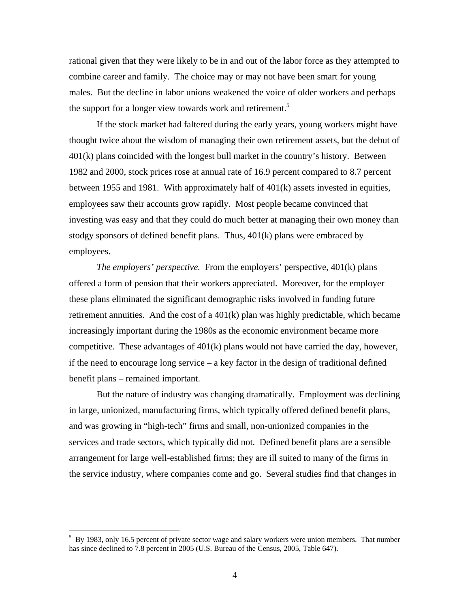rational given that they were likely to be in and out of the labor force as they attempted to combine career and family. The choice may or may not have been smart for young males. But the decline in labor unions weakened the voice of older workers and perhaps the support for a longer view towards work and retirement.<sup>5</sup>

If the stock market had faltered during the early years, young workers might have thought twice about the wisdom of managing their own retirement assets, but the debut of 401(k) plans coincided with the longest bull market in the country's history. Between 1982 and 2000, stock prices rose at annual rate of 16.9 percent compared to 8.7 percent between 1955 and 1981. With approximately half of 401(k) assets invested in equities, employees saw their accounts grow rapidly. Most people became convinced that investing was easy and that they could do much better at managing their own money than stodgy sponsors of defined benefit plans. Thus,  $401(k)$  plans were embraced by employees.

*The employers' perspective.* From the employers' perspective, 401(k) plans offered a form of pension that their workers appreciated. Moreover, for the employer these plans eliminated the significant demographic risks involved in funding future retirement annuities. And the cost of a 401(k) plan was highly predictable, which became increasingly important during the 1980s as the economic environment became more competitive. These advantages of 401(k) plans would not have carried the day, however, if the need to encourage long service – a key factor in the design of traditional defined benefit plans – remained important.

But the nature of industry was changing dramatically. Employment was declining in large, unionized, manufacturing firms, which typically offered defined benefit plans, and was growing in "high-tech" firms and small, non-unionized companies in the services and trade sectors, which typically did not. Defined benefit plans are a sensible arrangement for large well-established firms; they are ill suited to many of the firms in the service industry, where companies come and go. Several studies find that changes in

1

<sup>&</sup>lt;sup>5</sup> By 1983, only 16.5 percent of private sector wage and salary workers were union members. That number has since declined to 7.8 percent in 2005 (U.S. Bureau of the Census, 2005, Table 647).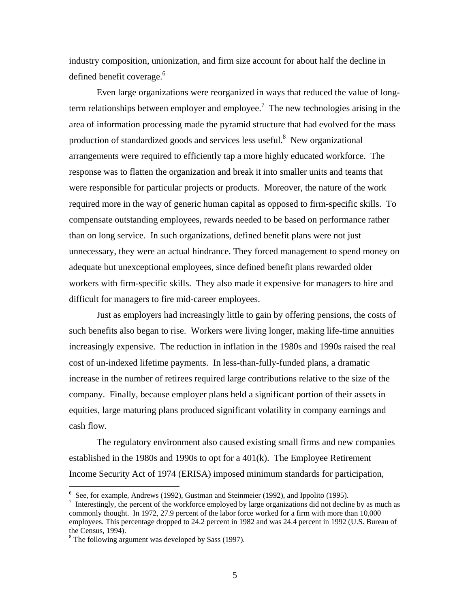industry composition, unionization, and firm size account for about half the decline in defined benefit coverage.<sup>6</sup>

Even large organizations were reorganized in ways that reduced the value of longterm relationships between employer and employee.<sup>7</sup> The new technologies arising in the area of information processing made the pyramid structure that had evolved for the mass production of standardized goods and services less useful.<sup>8</sup> New organizational arrangements were required to efficiently tap a more highly educated workforce. The response was to flatten the organization and break it into smaller units and teams that were responsible for particular projects or products. Moreover, the nature of the work required more in the way of generic human capital as opposed to firm-specific skills. To compensate outstanding employees, rewards needed to be based on performance rather than on long service. In such organizations, defined benefit plans were not just unnecessary, they were an actual hindrance. They forced management to spend money on adequate but unexceptional employees, since defined benefit plans rewarded older workers with firm-specific skills. They also made it expensive for managers to hire and difficult for managers to fire mid-career employees.

Just as employers had increasingly little to gain by offering pensions, the costs of such benefits also began to rise. Workers were living longer, making life-time annuities increasingly expensive. The reduction in inflation in the 1980s and 1990s raised the real cost of un-indexed lifetime payments. In less-than-fully-funded plans, a dramatic increase in the number of retirees required large contributions relative to the size of the company. Finally, because employer plans held a significant portion of their assets in equities, large maturing plans produced significant volatility in company earnings and cash flow.

The regulatory environment also caused existing small firms and new companies established in the 1980s and 1990s to opt for a 401(k). The Employee Retirement Income Security Act of 1974 (ERISA) imposed minimum standards for participation,

<u>.</u>

<sup>&</sup>lt;sup>6</sup> See, for example, Andrews (1992), Gustman and Steinmeier (1992), and Ippolito (1995).

 $\frac{1}{1}$  Interestingly, the percent of the workforce employed by large organizations did not decline by as much as commonly thought. In 1972, 27.9 percent of the labor force worked for a firm with more than 10,000 employees. This percentage dropped to 24.2 percent in 1982 and was 24.4 percent in 1992 (U.S. Bureau of the Census, 1994).

 $8$  The following argument was developed by Sass (1997).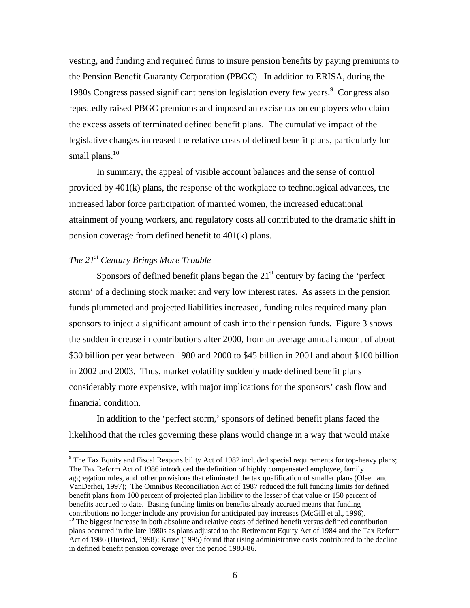vesting, and funding and required firms to insure pension benefits by paying premiums to the Pension Benefit Guaranty Corporation (PBGC). In addition to ERISA, during the 1980s Congress passed significant pension legislation every few years.<sup>9</sup> Congress also repeatedly raised PBGC premiums and imposed an excise tax on employers who claim the excess assets of terminated defined benefit plans. The cumulative impact of the legislative changes increased the relative costs of defined benefit plans, particularly for small plans. $10$ 

In summary, the appeal of visible account balances and the sense of control provided by 401(k) plans, the response of the workplace to technological advances, the increased labor force participation of married women, the increased educational attainment of young workers, and regulatory costs all contributed to the dramatic shift in pension coverage from defined benefit to 401(k) plans.

## *The 21st Century Brings More Trouble*

 $\overline{a}$ 

Sponsors of defined benefit plans began the  $21<sup>st</sup>$  century by facing the 'perfect storm' of a declining stock market and very low interest rates. As assets in the pension funds plummeted and projected liabilities increased, funding rules required many plan sponsors to inject a significant amount of cash into their pension funds. Figure 3 shows the sudden increase in contributions after 2000, from an average annual amount of about \$30 billion per year between 1980 and 2000 to \$45 billion in 2001 and about \$100 billion in 2002 and 2003. Thus, market volatility suddenly made defined benefit plans considerably more expensive, with major implications for the sponsors' cash flow and financial condition.

In addition to the 'perfect storm,' sponsors of defined benefit plans faced the likelihood that the rules governing these plans would change in a way that would make

 $9$  The Tax Equity and Fiscal Responsibility Act of 1982 included special requirements for top-heavy plans; The Tax Reform Act of 1986 introduced the definition of highly compensated employee, family aggregation rules, and other provisions that eliminated the tax qualification of smaller plans (Olsen and VanDerhei, 1997); The Omnibus Reconciliation Act of 1987 reduced the full funding limits for defined benefit plans from 100 percent of projected plan liability to the lesser of that value or 150 percent of benefits accrued to date. Basing funding limits on benefits already accrued means that funding contributions no longer include any provision for anticipated pay increases (McGill et al., 1996).

<sup>&</sup>lt;sup>10</sup> The biggest increase in both absolute and relative costs of defined benefit versus defined contribution plans occurred in the late 1980s as plans adjusted to the Retirement Equity Act of 1984 and the Tax Reform Act of 1986 (Hustead, 1998); Kruse (1995) found that rising administrative costs contributed to the decline in defined benefit pension coverage over the period 1980-86.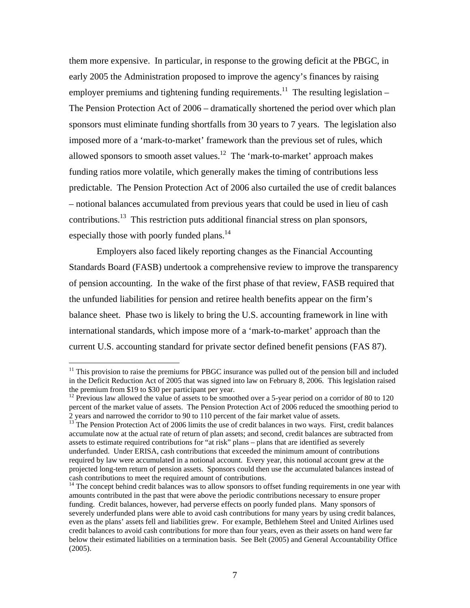them more expensive. In particular, in response to the growing deficit at the PBGC, in early 2005 the Administration proposed to improve the agency's finances by raising employer premiums and tightening funding requirements.<sup>11</sup> The resulting legislation – The Pension Protection Act of 2006 – dramatically shortened the period over which plan sponsors must eliminate funding shortfalls from 30 years to 7 years. The legislation also imposed more of a 'mark-to-market' framework than the previous set of rules, which allowed sponsors to smooth asset values.<sup>12</sup> The 'mark-to-market' approach makes funding ratios more volatile, which generally makes the timing of contributions less predictable. The Pension Protection Act of 2006 also curtailed the use of credit balances – notional balances accumulated from previous years that could be used in lieu of cash contributions.13 This restriction puts additional financial stress on plan sponsors, especially those with poorly funded plans.<sup>14</sup>

Employers also faced likely reporting changes as the Financial Accounting Standards Board (FASB) undertook a comprehensive review to improve the transparency of pension accounting. In the wake of the first phase of that review, FASB required that the unfunded liabilities for pension and retiree health benefits appear on the firm's balance sheet. Phase two is likely to bring the U.S. accounting framework in line with international standards, which impose more of a 'mark-to-market' approach than the current U.S. accounting standard for private sector defined benefit pensions (FAS 87).

 $11$  This provision to raise the premiums for PBGC insurance was pulled out of the pension bill and included in the Deficit Reduction Act of 2005 that was signed into law on February 8, 2006. This legislation raised the premium from \$19 to \$30 per participant per year.

<sup>&</sup>lt;sup>12</sup> Previous law allowed the value of assets to be smoothed over a 5-year period on a corridor of 80 to 120 percent of the market value of assets. The Pension Protection Act of 2006 reduced the smoothing period to 2 years and narrowed the corridor to 90 to 110 percent of the fair market value of assets.<br><sup>13</sup> The Pension Protection Act of 2006 limits the use of credit balances in two ways. First, credit balances

accumulate now at the actual rate of return of plan assets; and second, credit balances are subtracted from assets to estimate required contributions for "at risk" plans – plans that are identified as severely underfunded. Under ERISA, cash contributions that exceeded the minimum amount of contributions required by law were accumulated in a notional account. Every year, this notional account grew at the projected long-tem return of pension assets. Sponsors could then use the accumulated balances instead of cash contributions to meet the required amount of contributions.

<sup>&</sup>lt;sup>14</sup> The concept behind credit balances was to allow sponsors to offset funding requirements in one year with amounts contributed in the past that were above the periodic contributions necessary to ensure proper funding. Credit balances, however, had perverse effects on poorly funded plans. Many sponsors of severely underfunded plans were able to avoid cash contributions for many years by using credit balances, even as the plans' assets fell and liabilities grew. For example, Bethlehem Steel and United Airlines used credit balances to avoid cash contributions for more than four years, even as their assets on hand were far below their estimated liabilities on a termination basis. See Belt (2005) and General Accountability Office (2005).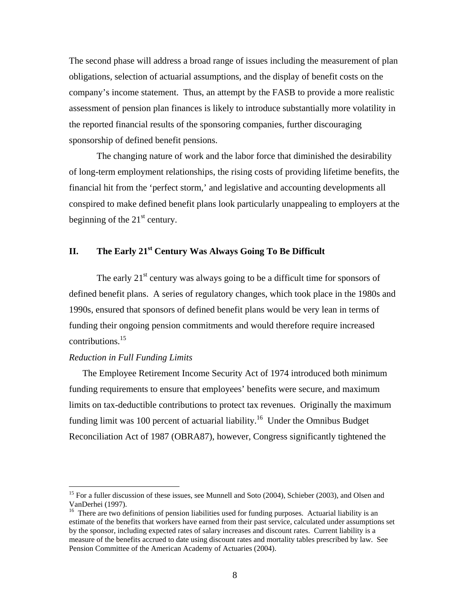The second phase will address a broad range of issues including the measurement of plan obligations, selection of actuarial assumptions, and the display of benefit costs on the company's income statement. Thus, an attempt by the FASB to provide a more realistic assessment of pension plan finances is likely to introduce substantially more volatility in the reported financial results of the sponsoring companies, further discouraging sponsorship of defined benefit pensions.

The changing nature of work and the labor force that diminished the desirability of long-term employment relationships, the rising costs of providing lifetime benefits, the financial hit from the 'perfect storm,' and legislative and accounting developments all conspired to make defined benefit plans look particularly unappealing to employers at the beginning of the  $21<sup>st</sup>$  century.

# **II.** The Early 21<sup>st</sup> Century Was Always Going To Be Difficult

The early  $21<sup>st</sup>$  century was always going to be a difficult time for sponsors of defined benefit plans. A series of regulatory changes, which took place in the 1980s and 1990s, ensured that sponsors of defined benefit plans would be very lean in terms of funding their ongoing pension commitments and would therefore require increased contributions.<sup>15</sup>

# *Reduction in Full Funding Limits*

 $\overline{a}$ 

 The Employee Retirement Income Security Act of 1974 introduced both minimum funding requirements to ensure that employees' benefits were secure, and maximum limits on tax-deductible contributions to protect tax revenues. Originally the maximum funding limit was 100 percent of actuarial liability.<sup>16</sup> Under the Omnibus Budget Reconciliation Act of 1987 (OBRA87), however, Congress significantly tightened the

<sup>&</sup>lt;sup>15</sup> For a fuller discussion of these issues, see Munnell and Soto (2004), Schieber (2003), and Olsen and VanDerhei (1997).

<sup>&</sup>lt;sup>16</sup> There are two definitions of pension liabilities used for funding purposes. Actuarial liability is an estimate of the benefits that workers have earned from their past service, calculated under assumptions set by the sponsor, including expected rates of salary increases and discount rates. Current liability is a measure of the benefits accrued to date using discount rates and mortality tables prescribed by law. See Pension Committee of the American Academy of Actuaries (2004).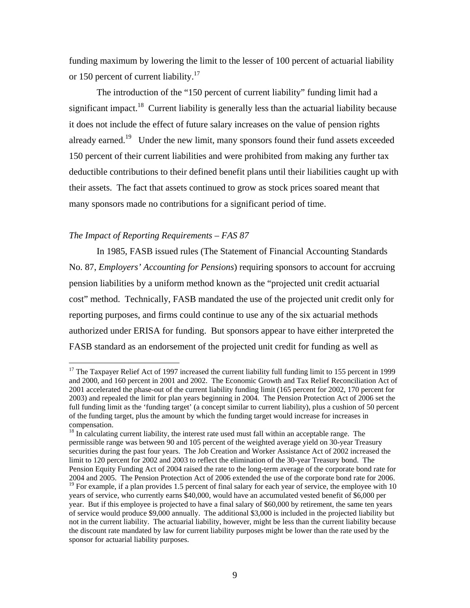funding maximum by lowering the limit to the lesser of 100 percent of actuarial liability or 150 percent of current liability.<sup>17</sup>

 The introduction of the "150 percent of current liability" funding limit had a significant impact.<sup>18</sup> Current liability is generally less than the actuarial liability because it does not include the effect of future salary increases on the value of pension rights already earned.<sup>19</sup> Under the new limit, many sponsors found their fund assets exceeded 150 percent of their current liabilities and were prohibited from making any further tax deductible contributions to their defined benefit plans until their liabilities caught up with their assets. The fact that assets continued to grow as stock prices soared meant that many sponsors made no contributions for a significant period of time.

## *The Impact of Reporting Requirements – FAS 87*

1

In 1985, FASB issued rules (The Statement of Financial Accounting Standards No. 87, *Employers' Accounting for Pensions*) requiring sponsors to account for accruing pension liabilities by a uniform method known as the "projected unit credit actuarial cost" method. Technically, FASB mandated the use of the projected unit credit only for reporting purposes, and firms could continue to use any of the six actuarial methods authorized under ERISA for funding. But sponsors appear to have either interpreted the FASB standard as an endorsement of the projected unit credit for funding as well as

 $17$  The Taxpayer Relief Act of 1997 increased the current liability full funding limit to 155 percent in 1999 and 2000, and 160 percent in 2001 and 2002. The Economic Growth and Tax Relief Reconciliation Act of 2001 accelerated the phase-out of the current liability funding limit (165 percent for 2002, 170 percent for 2003) and repealed the limit for plan years beginning in 2004. The Pension Protection Act of 2006 set the full funding limit as the 'funding target' (a concept similar to current liability), plus a cushion of 50 percent of the funding target, plus the amount by which the funding target would increase for increases in compensation.

<sup>&</sup>lt;sup>18</sup> In calculating current liability, the interest rate used must fall within an acceptable range. The permissible range was between 90 and 105 percent of the weighted average yield on 30-year Treasury securities during the past four years. The Job Creation and Worker Assistance Act of 2002 increased the limit to 120 percent for 2002 and 2003 to reflect the elimination of the 30-year Treasury bond. The Pension Equity Funding Act of 2004 raised the rate to the long-term average of the corporate bond rate for 2004 and 2005. The Pension Protection Act of 2006 extended the use of the corporate bond rate for 2006.  $19$  For example, if a plan provides 1.5 percent of final salary for each year of service, the employee with 10 years of service, who currently earns \$40,000, would have an accumulated vested benefit of \$6,000 per year. But if this employee is projected to have a final salary of \$60,000 by retirement, the same ten years of service would produce \$9,000 annually. The additional \$3,000 is included in the projected liability but not in the current liability. The actuarial liability, however, might be less than the current liability because the discount rate mandated by law for current liability purposes might be lower than the rate used by the sponsor for actuarial liability purposes.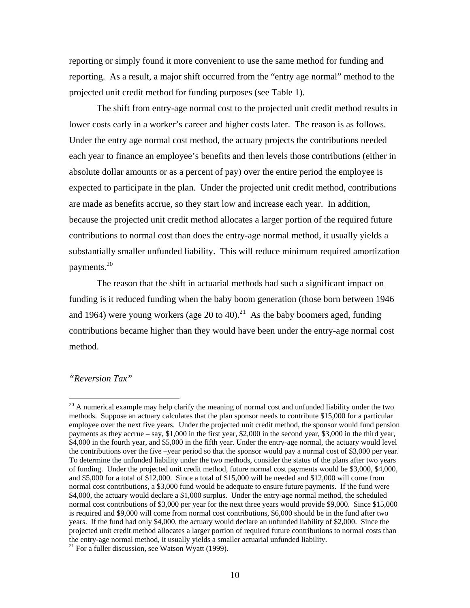reporting or simply found it more convenient to use the same method for funding and reporting. As a result, a major shift occurred from the "entry age normal" method to the projected unit credit method for funding purposes (see Table 1).

The shift from entry-age normal cost to the projected unit credit method results in lower costs early in a worker's career and higher costs later. The reason is as follows. Under the entry age normal cost method, the actuary projects the contributions needed each year to finance an employee's benefits and then levels those contributions (either in absolute dollar amounts or as a percent of pay) over the entire period the employee is expected to participate in the plan. Under the projected unit credit method, contributions are made as benefits accrue, so they start low and increase each year. In addition, because the projected unit credit method allocates a larger portion of the required future contributions to normal cost than does the entry-age normal method, it usually yields a substantially smaller unfunded liability. This will reduce minimum required amortization payments.<sup>20</sup>

The reason that the shift in actuarial methods had such a significant impact on funding is it reduced funding when the baby boom generation (those born between 1946 and 1964) were young workers (age 20 to 40).<sup>21</sup> As the baby boomers aged, funding contributions became higher than they would have been under the entry-age normal cost method.

#### *"Reversion Tax"*

<sup>&</sup>lt;sup>20</sup> A numerical example may help clarify the meaning of normal cost and unfunded liability under the two methods. Suppose an actuary calculates that the plan sponsor needs to contribute \$15,000 for a particular employee over the next five years. Under the projected unit credit method, the sponsor would fund pension payments as they accrue – say, \$1,000 in the first year, \$2,000 in the second year, \$3,000 in the third year, \$4,000 in the fourth year, and \$5,000 in the fifth year. Under the entry-age normal, the actuary would level the contributions over the five –year period so that the sponsor would pay a normal cost of \$3,000 per year. To determine the unfunded liability under the two methods, consider the status of the plans after two years of funding. Under the projected unit credit method, future normal cost payments would be \$3,000, \$4,000, and \$5,000 for a total of \$12,000. Since a total of \$15,000 will be needed and \$12,000 will come from normal cost contributions, a \$3,000 fund would be adequate to ensure future payments. If the fund were \$4,000, the actuary would declare a \$1,000 surplus. Under the entry-age normal method, the scheduled normal cost contributions of \$3,000 per year for the next three years would provide \$9,000. Since \$15,000 is required and \$9,000 will come from normal cost contributions, \$6,000 should be in the fund after two years. If the fund had only \$4,000, the actuary would declare an unfunded liability of \$2,000. Since the projected unit credit method allocates a larger portion of required future contributions to normal costs than the entry-age normal method, it usually yields a smaller actuarial unfunded liability.<br><sup>21</sup> For a fuller discussion, see Watson Wyatt (1999).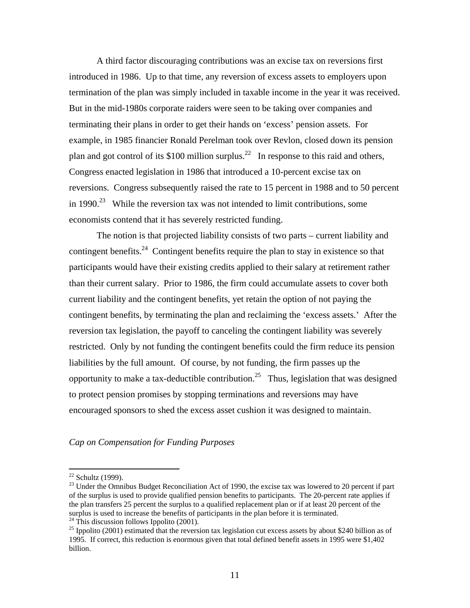A third factor discouraging contributions was an excise tax on reversions first introduced in 1986. Up to that time, any reversion of excess assets to employers upon termination of the plan was simply included in taxable income in the year it was received. But in the mid-1980s corporate raiders were seen to be taking over companies and terminating their plans in order to get their hands on 'excess' pension assets. For example, in 1985 financier Ronald Perelman took over Revlon, closed down its pension plan and got control of its \$100 million surplus.<sup>22</sup> In response to this raid and others, Congress enacted legislation in 1986 that introduced a 10-percent excise tax on reversions. Congress subsequently raised the rate to 15 percent in 1988 and to 50 percent in 1990.<sup>23</sup> While the reversion tax was not intended to limit contributions, some economists contend that it has severely restricted funding.

The notion is that projected liability consists of two parts – current liability and contingent benefits.<sup>24</sup> Contingent benefits require the plan to stay in existence so that participants would have their existing credits applied to their salary at retirement rather than their current salary. Prior to 1986, the firm could accumulate assets to cover both current liability and the contingent benefits, yet retain the option of not paying the contingent benefits, by terminating the plan and reclaiming the 'excess assets.' After the reversion tax legislation, the payoff to canceling the contingent liability was severely restricted. Only by not funding the contingent benefits could the firm reduce its pension liabilities by the full amount. Of course, by not funding, the firm passes up the opportunity to make a tax-deductible contribution.<sup>25</sup> Thus, legislation that was designed to protect pension promises by stopping terminations and reversions may have encouraged sponsors to shed the excess asset cushion it was designed to maintain.

#### *Cap on Compensation for Funding Purposes*

 $22$  Schultz (1999).

<sup>&</sup>lt;sup>23</sup> Under the Omnibus Budget Reconciliation Act of 1990, the excise tax was lowered to 20 percent if part of the surplus is used to provide qualified pension benefits to participants. The 20-percent rate applies if the plan transfers 25 percent the surplus to a qualified replacement plan or if at least 20 percent of the surplus is used to increase the benefits of participants in the plan before it is terminated.

 $^{24}$  This discussion follows Ippolito (2001).

<sup>&</sup>lt;sup>25</sup> Ippolito (2001) estimated that the reversion tax legislation cut excess assets by about \$240 billion as of 1995. If correct, this reduction is enormous given that total defined benefit assets in 1995 were \$1,402 billion.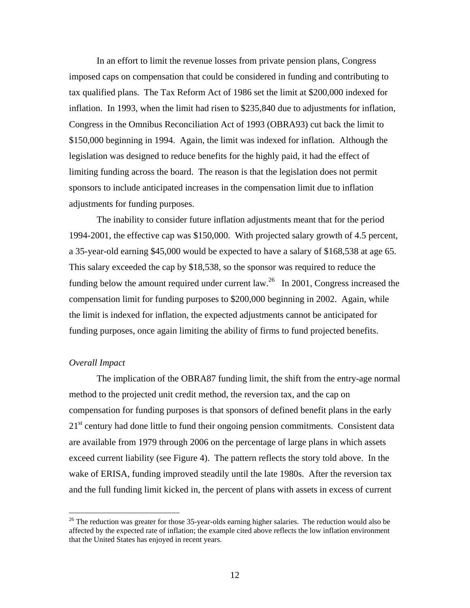In an effort to limit the revenue losses from private pension plans, Congress imposed caps on compensation that could be considered in funding and contributing to tax qualified plans. The Tax Reform Act of 1986 set the limit at \$200,000 indexed for inflation. In 1993, when the limit had risen to \$235,840 due to adjustments for inflation, Congress in the Omnibus Reconciliation Act of 1993 (OBRA93) cut back the limit to \$150,000 beginning in 1994. Again, the limit was indexed for inflation. Although the legislation was designed to reduce benefits for the highly paid, it had the effect of limiting funding across the board. The reason is that the legislation does not permit sponsors to include anticipated increases in the compensation limit due to inflation adjustments for funding purposes.

The inability to consider future inflation adjustments meant that for the period 1994-2001, the effective cap was \$150,000. With projected salary growth of 4.5 percent, a 35-year-old earning \$45,000 would be expected to have a salary of \$168,538 at age 65. This salary exceeded the cap by \$18,538, so the sponsor was required to reduce the funding below the amount required under current law.<sup>26</sup> In 2001, Congress increased the compensation limit for funding purposes to \$200,000 beginning in 2002. Again, while the limit is indexed for inflation, the expected adjustments cannot be anticipated for funding purposes, once again limiting the ability of firms to fund projected benefits.

# *Overall Impact*

 $\overline{a}$ 

The implication of the OBRA87 funding limit, the shift from the entry-age normal method to the projected unit credit method, the reversion tax, and the cap on compensation for funding purposes is that sponsors of defined benefit plans in the early  $21<sup>st</sup>$  century had done little to fund their ongoing pension commitments. Consistent data are available from 1979 through 2006 on the percentage of large plans in which assets exceed current liability (see Figure 4). The pattern reflects the story told above. In the wake of ERISA, funding improved steadily until the late 1980s. After the reversion tax and the full funding limit kicked in, the percent of plans with assets in excess of current

 $^{26}$  The reduction was greater for those 35-year-olds earning higher salaries. The reduction would also be affected by the expected rate of inflation; the example cited above reflects the low inflation environment that the United States has enjoyed in recent years.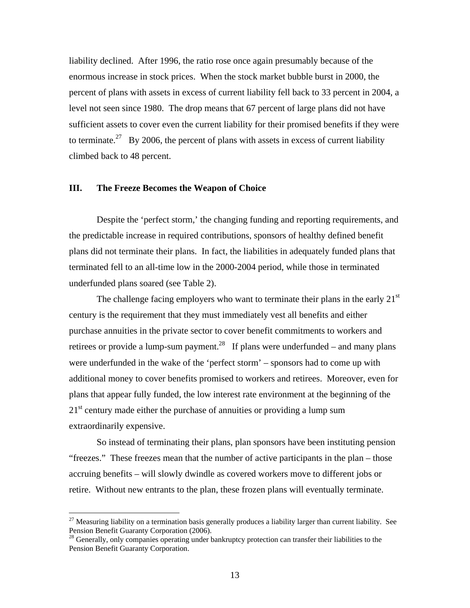liability declined. After 1996, the ratio rose once again presumably because of the enormous increase in stock prices. When the stock market bubble burst in 2000, the percent of plans with assets in excess of current liability fell back to 33 percent in 2004, a level not seen since 1980. The drop means that 67 percent of large plans did not have sufficient assets to cover even the current liability for their promised benefits if they were to terminate.<sup>27</sup> By 2006, the percent of plans with assets in excess of current liability climbed back to 48 percent.

## **III. The Freeze Becomes the Weapon of Choice**

Despite the 'perfect storm,' the changing funding and reporting requirements, and the predictable increase in required contributions, sponsors of healthy defined benefit plans did not terminate their plans. In fact, the liabilities in adequately funded plans that terminated fell to an all-time low in the 2000-2004 period, while those in terminated underfunded plans soared (see Table 2).

The challenge facing employers who want to terminate their plans in the early  $21<sup>st</sup>$ century is the requirement that they must immediately vest all benefits and either purchase annuities in the private sector to cover benefit commitments to workers and retirees or provide a lump-sum payment.<sup>28</sup> If plans were underfunded – and many plans were underfunded in the wake of the 'perfect storm' – sponsors had to come up with additional money to cover benefits promised to workers and retirees. Moreover, even for plans that appear fully funded, the low interest rate environment at the beginning of the  $21<sup>st</sup>$  century made either the purchase of annuities or providing a lump sum extraordinarily expensive.

So instead of terminating their plans, plan sponsors have been instituting pension "freezes." These freezes mean that the number of active participants in the plan – those accruing benefits – will slowly dwindle as covered workers move to different jobs or retire. Without new entrants to the plan, these frozen plans will eventually terminate.

 $^{27}$  Measuring liability on a termination basis generally produces a liability larger than current liability. See Pension Benefit Guaranty Corporation (2006).

<sup>&</sup>lt;sup>28</sup> Generally, only companies operating under bankruptcy protection can transfer their liabilities to the Pension Benefit Guaranty Corporation.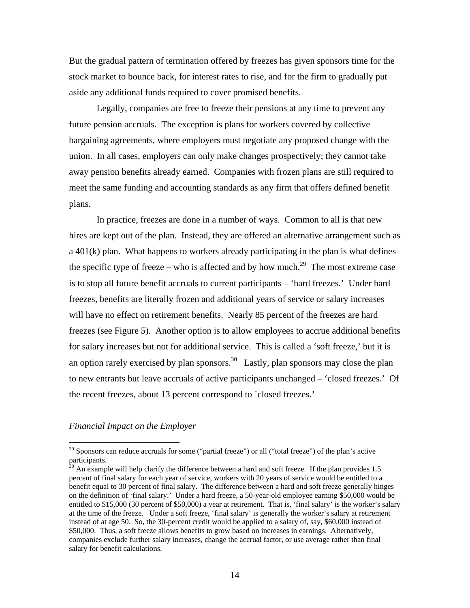But the gradual pattern of termination offered by freezes has given sponsors time for the stock market to bounce back, for interest rates to rise, and for the firm to gradually put aside any additional funds required to cover promised benefits.

Legally, companies are free to freeze their pensions at any time to prevent any future pension accruals. The exception is plans for workers covered by collective bargaining agreements, where employers must negotiate any proposed change with the union. In all cases, employers can only make changes prospectively; they cannot take away pension benefits already earned. Companies with frozen plans are still required to meet the same funding and accounting standards as any firm that offers defined benefit plans.

In practice, freezes are done in a number of ways. Common to all is that new hires are kept out of the plan. Instead, they are offered an alternative arrangement such as a 401(k) plan. What happens to workers already participating in the plan is what defines the specific type of freeze – who is affected and by how much.<sup>29</sup> The most extreme case is to stop all future benefit accruals to current participants – 'hard freezes.' Under hard freezes, benefits are literally frozen and additional years of service or salary increases will have no effect on retirement benefits. Nearly 85 percent of the freezes are hard freezes (see Figure 5). Another option is to allow employees to accrue additional benefits for salary increases but not for additional service. This is called a 'soft freeze,' but it is an option rarely exercised by plan sponsors.<sup>30</sup> Lastly, plan sponsors may close the plan to new entrants but leave accruals of active participants unchanged – 'closed freezes.' Of the recent freezes, about 13 percent correspond to `closed freezes.'

# *Financial Impact on the Employer*

<sup>&</sup>lt;sup>29</sup> Sponsors can reduce accruals for some ("partial freeze") or all ("total freeze") of the plan's active participants.

 $30$  An example will help clarify the difference between a hard and soft freeze. If the plan provides 1.5 percent of final salary for each year of service, workers with 20 years of service would be entitled to a benefit equal to 30 percent of final salary. The difference between a hard and soft freeze generally hinges on the definition of 'final salary.' Under a hard freeze, a 50-year-old employee earning \$50,000 would be entitled to \$15,000 (30 percent of \$50,000) a year at retirement. That is, 'final salary' is the worker's salary at the time of the freeze. Under a soft freeze, 'final salary' is generally the worker's salary at retirement instead of at age 50. So, the 30-percent credit would be applied to a salary of, say, \$60,000 instead of \$50,000. Thus, a soft freeze allows benefits to grow based on increases in earnings. Alternatively, companies exclude further salary increases, change the accrual factor, or use average rather than final salary for benefit calculations.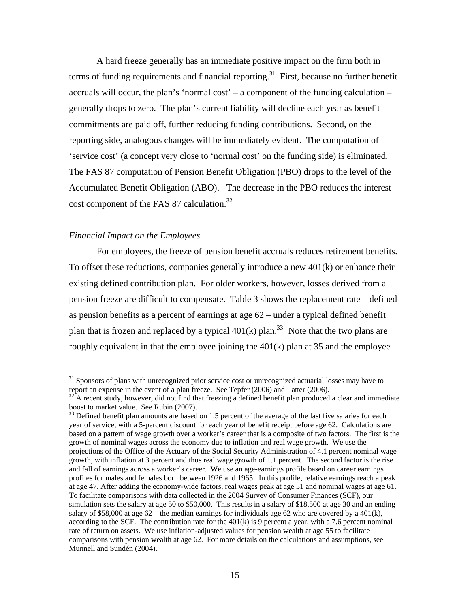A hard freeze generally has an immediate positive impact on the firm both in terms of funding requirements and financial reporting.<sup>31</sup> First, because no further benefit accruals will occur, the plan's 'normal cost' – a component of the funding calculation – generally drops to zero. The plan's current liability will decline each year as benefit commitments are paid off, further reducing funding contributions. Second, on the reporting side, analogous changes will be immediately evident. The computation of 'service cost' (a concept very close to 'normal cost' on the funding side) is eliminated. The FAS 87 computation of Pension Benefit Obligation (PBO) drops to the level of the Accumulated Benefit Obligation (ABO). The decrease in the PBO reduces the interest cost component of the FAS 87 calculation.<sup>32</sup>

# *Financial Impact on the Employees*

 $\overline{a}$ 

For employees, the freeze of pension benefit accruals reduces retirement benefits. To offset these reductions, companies generally introduce a new 401(k) or enhance their existing defined contribution plan. For older workers, however, losses derived from a pension freeze are difficult to compensate. Table 3 shows the replacement rate – defined as pension benefits as a percent of earnings at age 62 – under a typical defined benefit plan that is frozen and replaced by a typical  $401(k)$  plan.<sup>33</sup> Note that the two plans are roughly equivalent in that the employee joining the 401(k) plan at 35 and the employee

<sup>&</sup>lt;sup>31</sup> Sponsors of plans with unrecognized prior service cost or unrecognized actuarial losses may have to report an expense in the event of a plan freeze. See Tepfer (2006) and Latter (2006).

<sup>32</sup> A recent study, however, did not find that freezing a defined benefit plan produced a clear and immediate boost to market value. See Rubin (2007).

 $33$  Defined benefit plan amounts are based on 1.5 percent of the average of the last five salaries for each year of service, with a 5-percent discount for each year of benefit receipt before age 62. Calculations are based on a pattern of wage growth over a worker's career that is a composite of two factors. The first is the growth of nominal wages across the economy due to inflation and real wage growth. We use the projections of the Office of the Actuary of the Social Security Administration of 4.1 percent nominal wage growth, with inflation at 3 percent and thus real wage growth of 1.1 percent. The second factor is the rise and fall of earnings across a worker's career. We use an age-earnings profile based on career earnings profiles for males and females born between 1926 and 1965. In this profile, relative earnings reach a peak at age 47. After adding the economy-wide factors, real wages peak at age 51 and nominal wages at age 61. To facilitate comparisons with data collected in the 2004 Survey of Consumer Finances (SCF), our simulation sets the salary at age 50 to \$50,000. This results in a salary of \$18,500 at age 30 and an ending salary of \$58,000 at age  $62$  – the median earnings for individuals age  $62$  who are covered by a 401(k), according to the SCF. The contribution rate for the  $401(k)$  is 9 percent a year, with a 7.6 percent nominal rate of return on assets. We use inflation-adjusted values for pension wealth at age 55 to facilitate comparisons with pension wealth at age 62. For more details on the calculations and assumptions, see Munnell and Sundén (2004).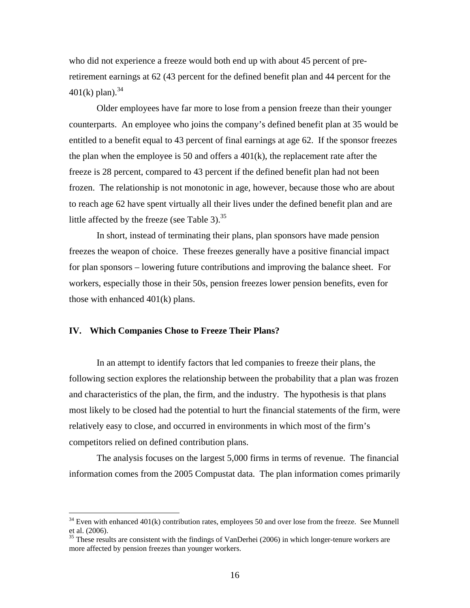who did not experience a freeze would both end up with about 45 percent of preretirement earnings at 62 (43 percent for the defined benefit plan and 44 percent for the  $401(k)$  plan).<sup>34</sup>

Older employees have far more to lose from a pension freeze than their younger counterparts. An employee who joins the company's defined benefit plan at 35 would be entitled to a benefit equal to 43 percent of final earnings at age 62. If the sponsor freezes the plan when the employee is 50 and offers a  $401(k)$ , the replacement rate after the freeze is 28 percent, compared to 43 percent if the defined benefit plan had not been frozen. The relationship is not monotonic in age, however, because those who are about to reach age 62 have spent virtually all their lives under the defined benefit plan and are little affected by the freeze (see Table 3). $^{35}$ 

 In short, instead of terminating their plans, plan sponsors have made pension freezes the weapon of choice. These freezes generally have a positive financial impact for plan sponsors – lowering future contributions and improving the balance sheet. For workers, especially those in their 50s, pension freezes lower pension benefits, even for those with enhanced 401(k) plans.

# **IV. Which Companies Chose to Freeze Their Plans?**

<u>.</u>

In an attempt to identify factors that led companies to freeze their plans, the following section explores the relationship between the probability that a plan was frozen and characteristics of the plan, the firm, and the industry. The hypothesis is that plans most likely to be closed had the potential to hurt the financial statements of the firm, were relatively easy to close, and occurred in environments in which most of the firm's competitors relied on defined contribution plans.

The analysis focuses on the largest 5,000 firms in terms of revenue. The financial information comes from the 2005 Compustat data. The plan information comes primarily

 $34$  Even with enhanced  $401(k)$  contribution rates, employees 50 and over lose from the freeze. See Munnell et al. (2006).

 $35$  These results are consistent with the findings of VanDerhei (2006) in which longer-tenure workers are more affected by pension freezes than younger workers.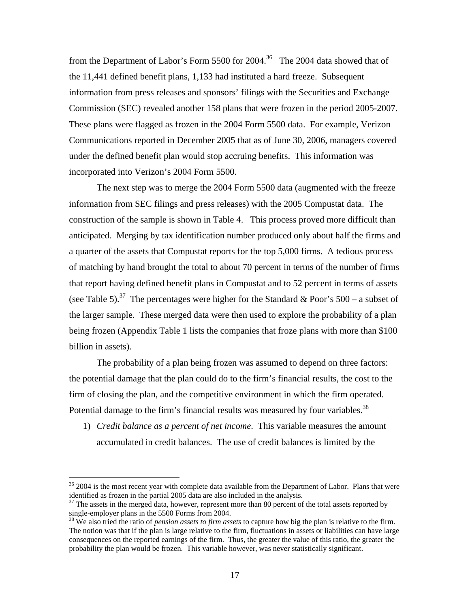from the Department of Labor's Form 5500 for 2004.36 The 2004 data showed that of the 11,441 defined benefit plans, 1,133 had instituted a hard freeze. Subsequent information from press releases and sponsors' filings with the Securities and Exchange Commission (SEC) revealed another 158 plans that were frozen in the period 2005-2007. These plans were flagged as frozen in the 2004 Form 5500 data. For example, Verizon Communications reported in December 2005 that as of June 30, 2006, managers covered under the defined benefit plan would stop accruing benefits. This information was incorporated into Verizon's 2004 Form 5500.

The next step was to merge the 2004 Form 5500 data (augmented with the freeze information from SEC filings and press releases) with the 2005 Compustat data. The construction of the sample is shown in Table 4. This process proved more difficult than anticipated. Merging by tax identification number produced only about half the firms and a quarter of the assets that Compustat reports for the top 5,000 firms. A tedious process of matching by hand brought the total to about 70 percent in terms of the number of firms that report having defined benefit plans in Compustat and to 52 percent in terms of assets (see Table 5).<sup>37</sup> The percentages were higher for the Standard & Poor's 500 – a subset of the larger sample. These merged data were then used to explore the probability of a plan being frozen (Appendix Table 1 lists the companies that froze plans with more than \$100 billion in assets).

The probability of a plan being frozen was assumed to depend on three factors: the potential damage that the plan could do to the firm's financial results, the cost to the firm of closing the plan, and the competitive environment in which the firm operated. Potential damage to the firm's financial results was measured by four variables.<sup>38</sup>

1) *Credit balance as a percent of net income*. This variable measures the amount accumulated in credit balances. The use of credit balances is limited by the

 $36$  2004 is the most recent year with complete data available from the Department of Labor. Plans that were identified as frozen in the partial 2005 data are also included in the analysis.

 $37$  The assets in the merged data, however, represent more than 80 percent of the total assets reported by single-employer plans in the 5500 Forms from 2004.

<sup>38</sup> We also tried the ratio of *pension assets to firm assets* to capture how big the plan is relative to the firm. The notion was that if the plan is large relative to the firm, fluctuations in assets or liabilities can have large consequences on the reported earnings of the firm. Thus, the greater the value of this ratio, the greater the probability the plan would be frozen. This variable however, was never statistically significant.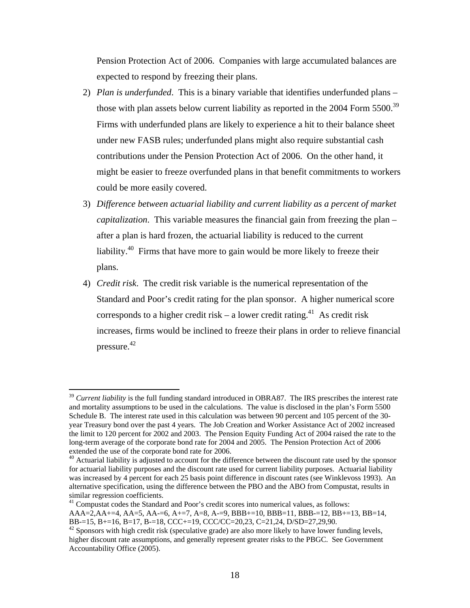Pension Protection Act of 2006. Companies with large accumulated balances are expected to respond by freezing their plans.

- 2) *Plan is underfunded*. This is a binary variable that identifies underfunded plans those with plan assets below current liability as reported in the  $2004$  Form  $5500$ .<sup>39</sup> Firms with underfunded plans are likely to experience a hit to their balance sheet under new FASB rules; underfunded plans might also require substantial cash contributions under the Pension Protection Act of 2006. On the other hand, it might be easier to freeze overfunded plans in that benefit commitments to workers could be more easily covered.
- 3) *Difference between actuarial liability and current liability as a percent of market capitalization*. This variable measures the financial gain from freezing the plan – after a plan is hard frozen, the actuarial liability is reduced to the current liability.<sup>40</sup> Firms that have more to gain would be more likely to freeze their plans.
- 4) *Credit risk*. The credit risk variable is the numerical representation of the Standard and Poor's credit rating for the plan sponsor. A higher numerical score corresponds to a higher credit risk – a lower credit rating.<sup>41</sup> As credit risk increases, firms would be inclined to freeze their plans in order to relieve financial pressure. 42

<sup>&</sup>lt;sup>39</sup> *Current liability* is the full funding standard introduced in OBRA87. The IRS prescribes the interest rate and mortality assumptions to be used in the calculations. The value is disclosed in the plan's Form 5500 Schedule B. The interest rate used in this calculation was between 90 percent and 105 percent of the 30 year Treasury bond over the past 4 years. The Job Creation and Worker Assistance Act of 2002 increased the limit to 120 percent for 2002 and 2003. The Pension Equity Funding Act of 2004 raised the rate to the long-term average of the corporate bond rate for 2004 and 2005. The Pension Protection Act of 2006 extended the use of the corporate bond rate for 2006.

<sup>&</sup>lt;sup>40</sup> Actuarial liability is adjusted to account for the difference between the discount rate used by the sponsor for actuarial liability purposes and the discount rate used for current liability purposes. Actuarial liability was increased by 4 percent for each 25 basis point difference in discount rates (see Winklevoss 1993). An alternative specification, using the difference between the PBO and the ABO from Compustat, results in similar regression coefficients.

<sup>&</sup>lt;sup>41</sup> Compustat codes the Standard and Poor's credit scores into numerical values, as follows:

AAA=2,AA+=4, AA=5, AA-=6, A+=7, A=8, A-=9, BBB+=10, BBB=11, BBB-=12, BB+=13, BB=14, BB-=15, B+=16, B=17, B-=18, CCC+=19, CCC/CC=20,23, C=21,24, D/SD=27,29,90.<br><sup>42</sup> Sponsors with high credit risk (speculative grade) are also more likely to have lower funding levels,

higher discount rate assumptions, and generally represent greater risks to the PBGC. See Government Accountability Office (2005).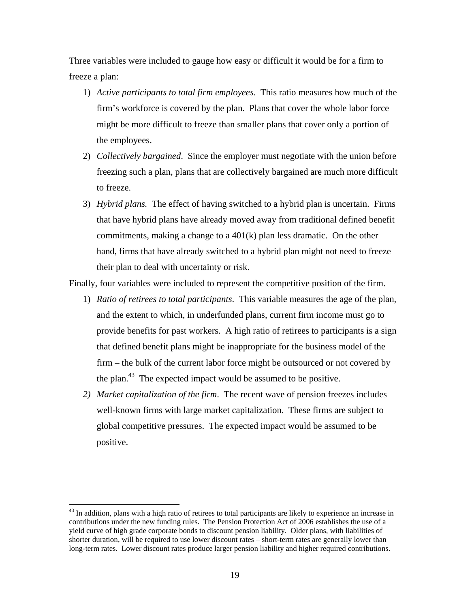Three variables were included to gauge how easy or difficult it would be for a firm to freeze a plan:

- 1) *Active participants to total firm employees*. This ratio measures how much of the firm's workforce is covered by the plan. Plans that cover the whole labor force might be more difficult to freeze than smaller plans that cover only a portion of the employees.
- 2) *Collectively bargained*. Since the employer must negotiate with the union before freezing such a plan, plans that are collectively bargained are much more difficult to freeze.
- 3) *Hybrid plans.* The effect of having switched to a hybrid plan is uncertain. Firms that have hybrid plans have already moved away from traditional defined benefit commitments, making a change to a  $401(k)$  plan less dramatic. On the other hand, firms that have already switched to a hybrid plan might not need to freeze their plan to deal with uncertainty or risk.

Finally, four variables were included to represent the competitive position of the firm.

- 1) *Ratio of retirees to total participants*. This variable measures the age of the plan, and the extent to which, in underfunded plans, current firm income must go to provide benefits for past workers. A high ratio of retirees to participants is a sign that defined benefit plans might be inappropriate for the business model of the firm – the bulk of the current labor force might be outsourced or not covered by the plan.<sup>43</sup> The expected impact would be assumed to be positive.
- *2) Market capitalization of the firm*. The recent wave of pension freezes includes well-known firms with large market capitalization. These firms are subject to global competitive pressures. The expected impact would be assumed to be positive.

<sup>&</sup>lt;sup>43</sup> In addition, plans with a high ratio of retirees to total participants are likely to experience an increase in contributions under the new funding rules. The Pension Protection Act of 2006 establishes the use of a yield curve of high grade corporate bonds to discount pension liability. Older plans, with liabilities of shorter duration, will be required to use lower discount rates – short-term rates are generally lower than long-term rates. Lower discount rates produce larger pension liability and higher required contributions.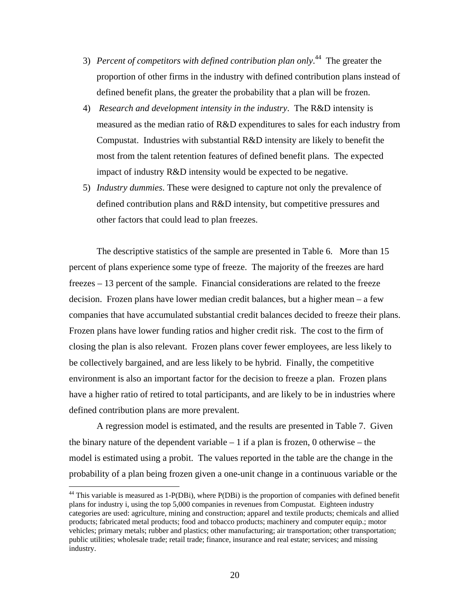- 3) *Percent of competitors with defined contribution plan only*. 44 The greater the proportion of other firms in the industry with defined contribution plans instead of defined benefit plans, the greater the probability that a plan will be frozen.
- 4) *Research and development intensity in the industry*. The R&D intensity is measured as the median ratio of R&D expenditures to sales for each industry from Compustat. Industries with substantial R&D intensity are likely to benefit the most from the talent retention features of defined benefit plans. The expected impact of industry R&D intensity would be expected to be negative.
- 5) *Industry dummies*. These were designed to capture not only the prevalence of defined contribution plans and R&D intensity, but competitive pressures and other factors that could lead to plan freezes.

The descriptive statistics of the sample are presented in Table 6. More than 15 percent of plans experience some type of freeze. The majority of the freezes are hard freezes – 13 percent of the sample. Financial considerations are related to the freeze decision. Frozen plans have lower median credit balances, but a higher mean – a few companies that have accumulated substantial credit balances decided to freeze their plans. Frozen plans have lower funding ratios and higher credit risk. The cost to the firm of closing the plan is also relevant. Frozen plans cover fewer employees, are less likely to be collectively bargained, and are less likely to be hybrid. Finally, the competitive environment is also an important factor for the decision to freeze a plan. Frozen plans have a higher ratio of retired to total participants, and are likely to be in industries where defined contribution plans are more prevalent.

A regression model is estimated, and the results are presented in Table 7. Given the binary nature of the dependent variable  $-1$  if a plan is frozen, 0 otherwise – the model is estimated using a probit. The values reported in the table are the change in the probability of a plan being frozen given a one-unit change in a continuous variable or the

 $44$  This variable is measured as 1-P(DBi), where P(DBi) is the proportion of companies with defined benefit plans for industry i, using the top 5,000 companies in revenues from Compustat. Eighteen industry categories are used: agriculture, mining and construction; apparel and textile products; chemicals and allied products; fabricated metal products; food and tobacco products; machinery and computer equip.; motor vehicles; primary metals; rubber and plastics; other manufacturing; air transportation; other transportation; public utilities; wholesale trade; retail trade; finance, insurance and real estate; services; and missing industry.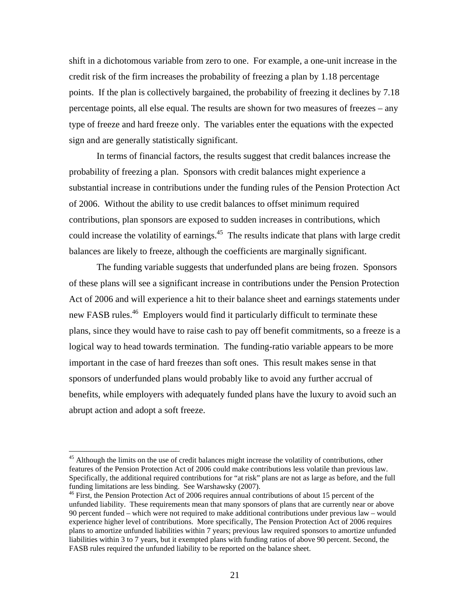shift in a dichotomous variable from zero to one. For example, a one-unit increase in the credit risk of the firm increases the probability of freezing a plan by 1.18 percentage points. If the plan is collectively bargained, the probability of freezing it declines by 7.18 percentage points, all else equal. The results are shown for two measures of freezes – any type of freeze and hard freeze only. The variables enter the equations with the expected sign and are generally statistically significant.

In terms of financial factors, the results suggest that credit balances increase the probability of freezing a plan. Sponsors with credit balances might experience a substantial increase in contributions under the funding rules of the Pension Protection Act of 2006. Without the ability to use credit balances to offset minimum required contributions, plan sponsors are exposed to sudden increases in contributions, which could increase the volatility of earnings.<sup>45</sup> The results indicate that plans with large credit balances are likely to freeze, although the coefficients are marginally significant.

The funding variable suggests that underfunded plans are being frozen. Sponsors of these plans will see a significant increase in contributions under the Pension Protection Act of 2006 and will experience a hit to their balance sheet and earnings statements under new FASB rules.<sup>46</sup> Employers would find it particularly difficult to terminate these plans, since they would have to raise cash to pay off benefit commitments, so a freeze is a logical way to head towards termination. The funding-ratio variable appears to be more important in the case of hard freezes than soft ones. This result makes sense in that sponsors of underfunded plans would probably like to avoid any further accrual of benefits, while employers with adequately funded plans have the luxury to avoid such an abrupt action and adopt a soft freeze.

<sup>&</sup>lt;sup>45</sup> Although the limits on the use of credit balances might increase the volatility of contributions, other features of the Pension Protection Act of 2006 could make contributions less volatile than previous law. Specifically, the additional required contributions for "at risk" plans are not as large as before, and the full funding limitations are less binding. See Warshawsky (2007).

<sup>&</sup>lt;sup>46</sup> First, the Pension Protection Act of 2006 requires annual contributions of about 15 percent of the unfunded liability. These requirements mean that many sponsors of plans that are currently near or above 90 percent funded – which were not required to make additional contributions under previous law – would experience higher level of contributions. More specifically, The Pension Protection Act of 2006 requires plans to amortize unfunded liabilities within 7 years; previous law required sponsors to amortize unfunded liabilities within 3 to 7 years, but it exempted plans with funding ratios of above 90 percent. Second, the FASB rules required the unfunded liability to be reported on the balance sheet.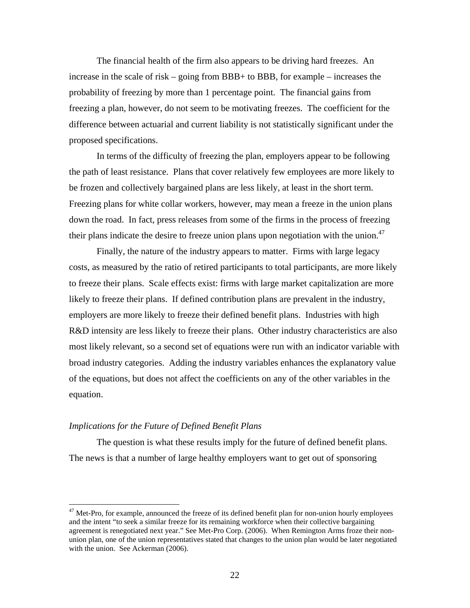The financial health of the firm also appears to be driving hard freezes. An increase in the scale of risk – going from BBB+ to BBB, for example – increases the probability of freezing by more than 1 percentage point. The financial gains from freezing a plan, however, do not seem to be motivating freezes. The coefficient for the difference between actuarial and current liability is not statistically significant under the proposed specifications.

In terms of the difficulty of freezing the plan, employers appear to be following the path of least resistance. Plans that cover relatively few employees are more likely to be frozen and collectively bargained plans are less likely, at least in the short term. Freezing plans for white collar workers, however, may mean a freeze in the union plans down the road. In fact, press releases from some of the firms in the process of freezing their plans indicate the desire to freeze union plans upon negotiation with the union.<sup>47</sup>

 Finally, the nature of the industry appears to matter. Firms with large legacy costs, as measured by the ratio of retired participants to total participants, are more likely to freeze their plans. Scale effects exist: firms with large market capitalization are more likely to freeze their plans. If defined contribution plans are prevalent in the industry, employers are more likely to freeze their defined benefit plans. Industries with high R&D intensity are less likely to freeze their plans. Other industry characteristics are also most likely relevant, so a second set of equations were run with an indicator variable with broad industry categories. Adding the industry variables enhances the explanatory value of the equations, but does not affect the coefficients on any of the other variables in the equation.

# *Implications for the Future of Defined Benefit Plans*

1

 The question is what these results imply for the future of defined benefit plans. The news is that a number of large healthy employers want to get out of sponsoring

<sup>&</sup>lt;sup>47</sup> Met-Pro, for example, announced the freeze of its defined benefit plan for non-union hourly employees and the intent "to seek a similar freeze for its remaining workforce when their collective bargaining agreement is renegotiated next year." See Met-Pro Corp. (2006). When Remington Arms froze their nonunion plan, one of the union representatives stated that changes to the union plan would be later negotiated with the union. See Ackerman (2006).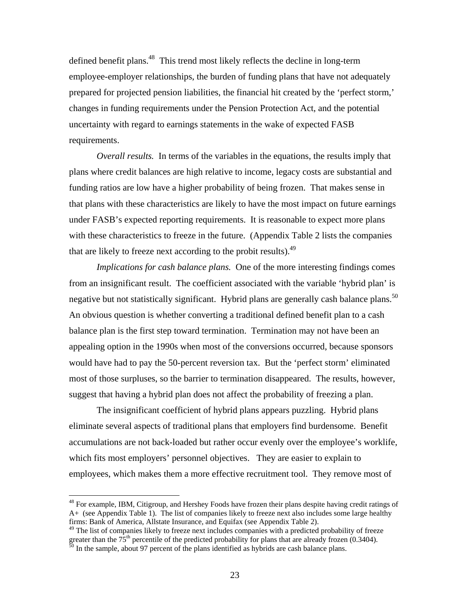defined benefit plans.<sup>48</sup> This trend most likely reflects the decline in long-term employee-employer relationships, the burden of funding plans that have not adequately prepared for projected pension liabilities, the financial hit created by the 'perfect storm,' changes in funding requirements under the Pension Protection Act, and the potential uncertainty with regard to earnings statements in the wake of expected FASB requirements.

*Overall results.* In terms of the variables in the equations, the results imply that plans where credit balances are high relative to income, legacy costs are substantial and funding ratios are low have a higher probability of being frozen. That makes sense in that plans with these characteristics are likely to have the most impact on future earnings under FASB's expected reporting requirements. It is reasonable to expect more plans with these characteristics to freeze in the future. (Appendix Table 2 lists the companies that are likely to freeze next according to the probit results).  $49$ 

*Implications for cash balance plans.* One of the more interesting findings comes from an insignificant result. The coefficient associated with the variable 'hybrid plan' is negative but not statistically significant. Hybrid plans are generally cash balance plans.<sup>50</sup> An obvious question is whether converting a traditional defined benefit plan to a cash balance plan is the first step toward termination. Termination may not have been an appealing option in the 1990s when most of the conversions occurred, because sponsors would have had to pay the 50-percent reversion tax. But the 'perfect storm' eliminated most of those surpluses, so the barrier to termination disappeared. The results, however, suggest that having a hybrid plan does not affect the probability of freezing a plan.

 The insignificant coefficient of hybrid plans appears puzzling. Hybrid plans eliminate several aspects of traditional plans that employers find burdensome. Benefit accumulations are not back-loaded but rather occur evenly over the employee's worklife, which fits most employers' personnel objectives. They are easier to explain to employees, which makes them a more effective recruitment tool. They remove most of

1

<sup>&</sup>lt;sup>48</sup> For example, IBM, Citigroup, and Hershey Foods have frozen their plans despite having credit ratings of A+ (see Appendix Table 1). The list of companies likely to freeze next also includes some large healthy firms: Bank of America, Allstate Insurance, and Equifax (see Appendix Table 2).

<sup>&</sup>lt;sup>49</sup> The list of companies likely to freeze next includes companies with a predicted probability of freeze greater than the  $75<sup>th</sup>$  percentile of the predicted probability for plans that are already frozen (0.3404). <sup>50</sup> In the sample, about 97 percent of the plans identified as hybrids are cash balance plans.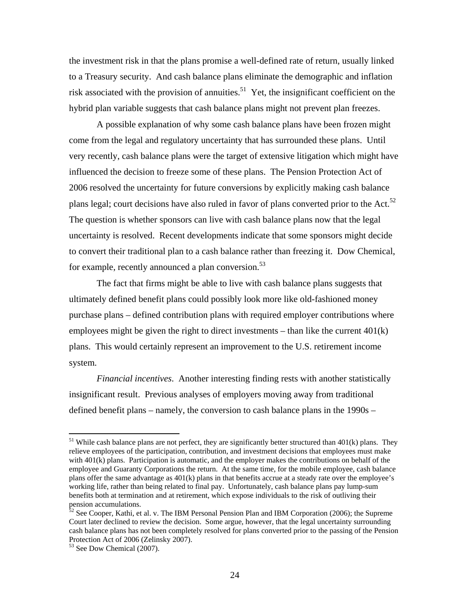the investment risk in that the plans promise a well-defined rate of return, usually linked to a Treasury security. And cash balance plans eliminate the demographic and inflation risk associated with the provision of annuities.<sup>51</sup> Yet, the insignificant coefficient on the hybrid plan variable suggests that cash balance plans might not prevent plan freezes.

A possible explanation of why some cash balance plans have been frozen might come from the legal and regulatory uncertainty that has surrounded these plans. Until very recently, cash balance plans were the target of extensive litigation which might have influenced the decision to freeze some of these plans. The Pension Protection Act of 2006 resolved the uncertainty for future conversions by explicitly making cash balance plans legal; court decisions have also ruled in favor of plans converted prior to the Act.<sup>52</sup> The question is whether sponsors can live with cash balance plans now that the legal uncertainty is resolved. Recent developments indicate that some sponsors might decide to convert their traditional plan to a cash balance rather than freezing it. Dow Chemical, for example, recently announced a plan conversion.<sup>53</sup>

The fact that firms might be able to live with cash balance plans suggests that ultimately defined benefit plans could possibly look more like old-fashioned money purchase plans – defined contribution plans with required employer contributions where employees might be given the right to direct investments – than like the current 401(k) plans. This would certainly represent an improvement to the U.S. retirement income system.

*Financial incentives*. Another interesting finding rests with another statistically insignificant result. Previous analyses of employers moving away from traditional defined benefit plans – namely, the conversion to cash balance plans in the 1990s –

 $51$  While cash balance plans are not perfect, they are significantly better structured than 401(k) plans. They relieve employees of the participation, contribution, and investment decisions that employees must make with 401(k) plans. Participation is automatic, and the employer makes the contributions on behalf of the employee and Guaranty Corporations the return. At the same time, for the mobile employee, cash balance plans offer the same advantage as 401(k) plans in that benefits accrue at a steady rate over the employee's working life, rather than being related to final pay. Unfortunately, cash balance plans pay lump-sum benefits both at termination and at retirement, which expose individuals to the risk of outliving their pension accumulations.

<sup>&</sup>lt;sup>52</sup> See Cooper, Kathi, et al. v. The IBM Personal Pension Plan and IBM Corporation (2006); the Supreme Court later declined to review the decision. Some argue, however, that the legal uncertainty surrounding cash balance plans has not been completely resolved for plans converted prior to the passing of the Pension Protection Act of 2006 (Zelinsky 2007).

<sup>53</sup> See Dow Chemical (2007).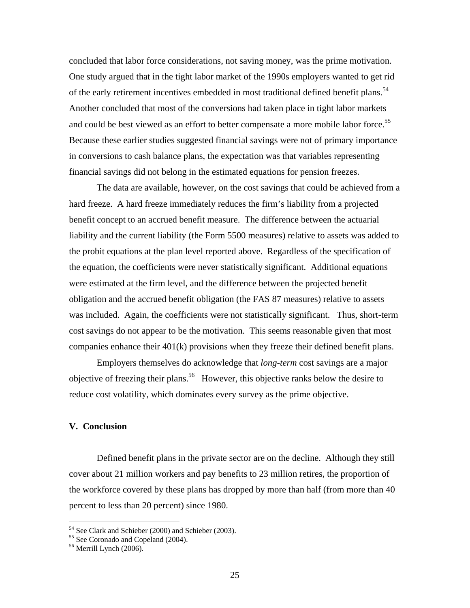concluded that labor force considerations, not saving money, was the prime motivation. One study argued that in the tight labor market of the 1990s employers wanted to get rid of the early retirement incentives embedded in most traditional defined benefit plans.<sup>54</sup> Another concluded that most of the conversions had taken place in tight labor markets and could be best viewed as an effort to better compensate a more mobile labor force.<sup>55</sup> Because these earlier studies suggested financial savings were not of primary importance in conversions to cash balance plans, the expectation was that variables representing financial savings did not belong in the estimated equations for pension freezes.

The data are available, however, on the cost savings that could be achieved from a hard freeze. A hard freeze immediately reduces the firm's liability from a projected benefit concept to an accrued benefit measure. The difference between the actuarial liability and the current liability (the Form 5500 measures) relative to assets was added to the probit equations at the plan level reported above. Regardless of the specification of the equation, the coefficients were never statistically significant. Additional equations were estimated at the firm level, and the difference between the projected benefit obligation and the accrued benefit obligation (the FAS 87 measures) relative to assets was included. Again, the coefficients were not statistically significant. Thus, short-term cost savings do not appear to be the motivation. This seems reasonable given that most companies enhance their 401(k) provisions when they freeze their defined benefit plans.

Employers themselves do acknowledge that *long-term* cost savings are a major objective of freezing their plans.<sup>56</sup> However, this objective ranks below the desire to reduce cost volatility, which dominates every survey as the prime objective.

# **V. Conclusion**

Defined benefit plans in the private sector are on the decline. Although they still cover about 21 million workers and pay benefits to 23 million retires, the proportion of the workforce covered by these plans has dropped by more than half (from more than 40 percent to less than 20 percent) since 1980.

<sup>&</sup>lt;sup>54</sup> See Clark and Schieber (2000) and Schieber (2003).

<sup>&</sup>lt;sup>55</sup> See Coronado and Copeland (2004).

<sup>&</sup>lt;sup>56</sup> Merrill Lynch (2006).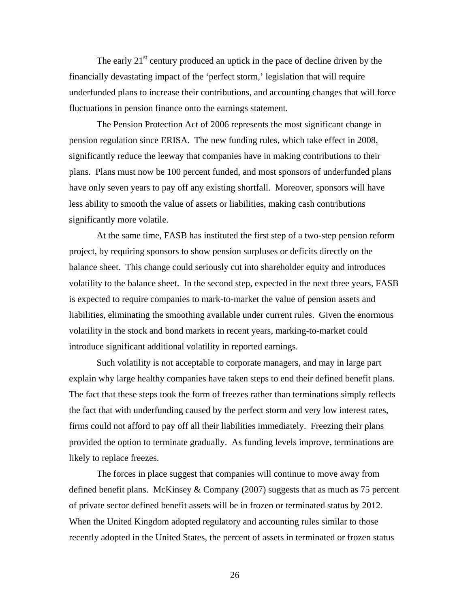The early  $21^{st}$  century produced an uptick in the pace of decline driven by the financially devastating impact of the 'perfect storm,' legislation that will require underfunded plans to increase their contributions, and accounting changes that will force fluctuations in pension finance onto the earnings statement.

The Pension Protection Act of 2006 represents the most significant change in pension regulation since ERISA. The new funding rules, which take effect in 2008, significantly reduce the leeway that companies have in making contributions to their plans. Plans must now be 100 percent funded, and most sponsors of underfunded plans have only seven years to pay off any existing shortfall. Moreover, sponsors will have less ability to smooth the value of assets or liabilities, making cash contributions significantly more volatile.

At the same time, FASB has instituted the first step of a two-step pension reform project, by requiring sponsors to show pension surpluses or deficits directly on the balance sheet. This change could seriously cut into shareholder equity and introduces volatility to the balance sheet. In the second step, expected in the next three years, FASB is expected to require companies to mark-to-market the value of pension assets and liabilities, eliminating the smoothing available under current rules. Given the enormous volatility in the stock and bond markets in recent years, marking-to-market could introduce significant additional volatility in reported earnings.

Such volatility is not acceptable to corporate managers, and may in large part explain why large healthy companies have taken steps to end their defined benefit plans. The fact that these steps took the form of freezes rather than terminations simply reflects the fact that with underfunding caused by the perfect storm and very low interest rates, firms could not afford to pay off all their liabilities immediately. Freezing their plans provided the option to terminate gradually. As funding levels improve, terminations are likely to replace freezes.

The forces in place suggest that companies will continue to move away from defined benefit plans. McKinsey & Company (2007) suggests that as much as 75 percent of private sector defined benefit assets will be in frozen or terminated status by 2012. When the United Kingdom adopted regulatory and accounting rules similar to those recently adopted in the United States, the percent of assets in terminated or frozen status

26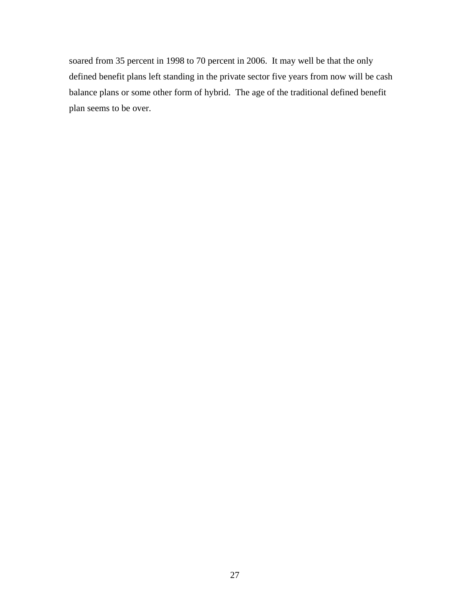soared from 35 percent in 1998 to 70 percent in 2006. It may well be that the only defined benefit plans left standing in the private sector five years from now will be cash balance plans or some other form of hybrid. The age of the traditional defined benefit plan seems to be over.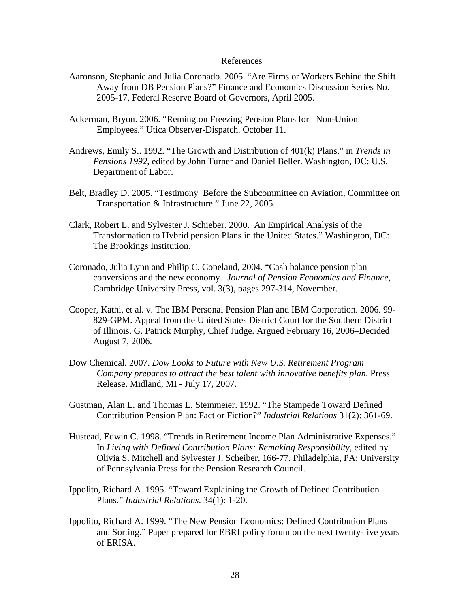# References

- Aaronson, Stephanie and Julia Coronado. 2005. "Are Firms or Workers Behind the Shift Away from DB Pension Plans?" Finance and Economics Discussion Series No. 2005-17, Federal Reserve Board of Governors, April 2005.
- Ackerman, Bryon. 2006. "Remington Freezing Pension Plans for Non-Union Employees." Utica Observer-Dispatch. October 11.
- Andrews, Emily S.. 1992. "The Growth and Distribution of 401(k) Plans," in *Trends in Pensions 1992*, edited by John Turner and Daniel Beller. Washington, DC: U.S. Department of Labor.
- Belt, Bradley D. 2005. "Testimony Before the Subcommittee on Aviation, Committee on Transportation & Infrastructure." June 22, 2005.
- Clark, Robert L. and Sylvester J. Schieber. 2000. An Empirical Analysis of the Transformation to Hybrid pension Plans in the United States." Washington, DC: The Brookings Institution.
- Coronado, Julia Lynn and Philip C. Copeland, 2004. "Cash balance pension plan conversions and the new economy. *Journal of Pension Economics and Finance*, Cambridge University Press, vol. 3(3), pages 297-314, November.
- Cooper, Kathi, et al. v. The IBM Personal Pension Plan and IBM Corporation. 2006. 99- 829-GPM. Appeal from the United States District Court for the Southern District of Illinois. G. Patrick Murphy, Chief Judge. Argued February 16, 2006–Decided August 7, 2006.
- Dow Chemical. 2007. *Dow Looks to Future with New U.S. Retirement Program Company prepares to attract the best talent with innovative benefits plan*. Press Release. Midland, MI - July 17, 2007.
- Gustman, Alan L. and Thomas L. Steinmeier. 1992. "The Stampede Toward Defined Contribution Pension Plan: Fact or Fiction?" *Industrial Relations* 31(2): 361-69.
- Hustead, Edwin C. 1998. "Trends in Retirement Income Plan Administrative Expenses." In *Living with Defined Contribution Plans: Remaking Responsibility,* edited by Olivia S. Mitchell and Sylvester J. Scheiber, 166-77. Philadelphia, PA: University of Pennsylvania Press for the Pension Research Council.
- Ippolito, Richard A. 1995. "Toward Explaining the Growth of Defined Contribution Plans." *Industrial Relations*. 34(1): 1-20.
- Ippolito, Richard A. 1999. "The New Pension Economics: Defined Contribution Plans and Sorting." Paper prepared for EBRI policy forum on the next twenty-five years of ERISA.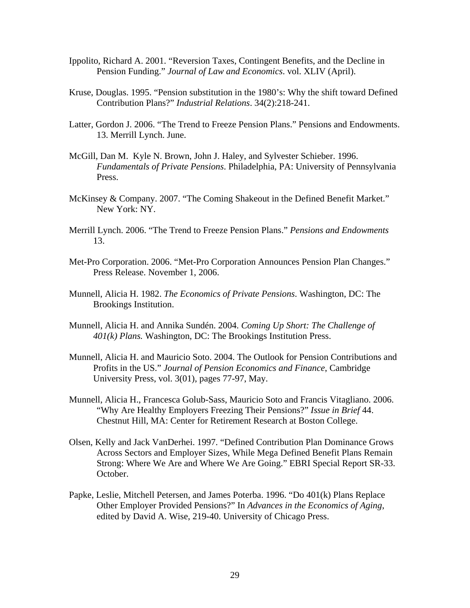- Ippolito, Richard A. 2001. "Reversion Taxes, Contingent Benefits, and the Decline in Pension Funding." *Journal of Law and Economics*. vol. XLIV (April).
- Kruse, Douglas. 1995. "Pension substitution in the 1980's: Why the shift toward Defined Contribution Plans?" *Industrial Relations*. 34(2):218-241.
- Latter, Gordon J. 2006. "The Trend to Freeze Pension Plans." Pensions and Endowments. 13. Merrill Lynch. June.
- McGill, Dan M. Kyle N. Brown, John J. Haley, and Sylvester Schieber. 1996. *Fundamentals of Private Pensions*. Philadelphia, PA: University of Pennsylvania Press.
- McKinsey & Company. 2007. "The Coming Shakeout in the Defined Benefit Market." New York: NY.
- Merrill Lynch. 2006. "The Trend to Freeze Pension Plans." *Pensions and Endowments*  13.
- Met-Pro Corporation. 2006. "Met-Pro Corporation Announces Pension Plan Changes." Press Release. November 1, 2006.
- Munnell, Alicia H. 1982. *The Economics of Private Pensions*. Washington, DC: The Brookings Institution.
- Munnell, Alicia H. and Annika Sundén. 2004. *Coming Up Short: The Challenge of 401(k) Plans.* Washington, DC: The Brookings Institution Press.
- Munnell, Alicia H. and Mauricio Soto. 2004. The Outlook for Pension Contributions and Profits in the US." *Journal of Pension Economics and Finance*, Cambridge University Press, vol. 3(01), pages 77-97, May.
- Munnell, Alicia H., Francesca Golub-Sass, Mauricio Soto and Francis Vitagliano. 2006. "Why Are Healthy Employers Freezing Their Pensions?" *Issue in Brief* 44. Chestnut Hill, MA: Center for Retirement Research at Boston College.
- Olsen, Kelly and Jack VanDerhei. 1997. "Defined Contribution Plan Dominance Grows Across Sectors and Employer Sizes, While Mega Defined Benefit Plans Remain Strong: Where We Are and Where We Are Going." EBRI Special Report SR-33. October.
- Papke, Leslie, Mitchell Petersen, and James Poterba. 1996. "Do 401(k) Plans Replace Other Employer Provided Pensions?" In *Advances in the Economics of Aging*, edited by David A. Wise, 219-40. University of Chicago Press.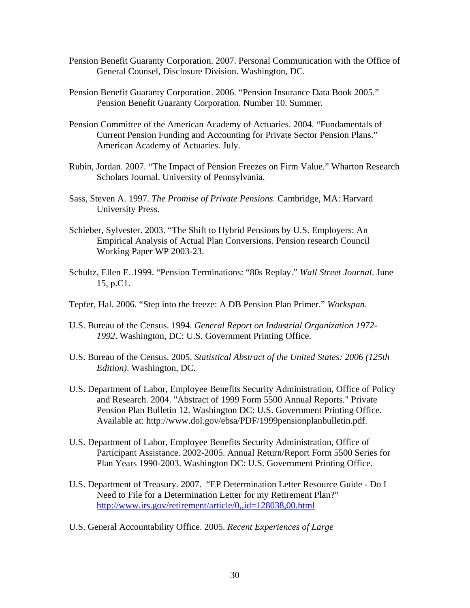- Pension Benefit Guaranty Corporation. 2007. Personal Communication with the Office of General Counsel, Disclosure Division. Washington, DC.
- Pension Benefit Guaranty Corporation. 2006. "Pension Insurance Data Book 2005." Pension Benefit Guaranty Corporation. Number 10. Summer.
- Pension Committee of the American Academy of Actuaries. 2004. "Fundamentals of Current Pension Funding and Accounting for Private Sector Pension Plans." American Academy of Actuaries. July.
- Rubin, Jordan. 2007. "The Impact of Pension Freezes on Firm Value." Wharton Research Scholars Journal. University of Pennsylvania.
- Sass, Steven A. 1997. *The Promise of Private Pensions.* Cambridge, MA: Harvard University Press.
- Schieber, Sylvester. 2003. "The Shift to Hybrid Pensions by U.S. Employers: An Empirical Analysis of Actual Plan Conversions. Pension research Council Working Paper WP 2003-23.
- Schultz, Ellen E..1999. "Pension Terminations: "80s Replay." *Wall Street Journal*. June 15, p.C1.
- Tepfer, Hal. 2006. "Step into the freeze: A DB Pension Plan Primer." *Workspan*.
- U.S. Bureau of the Census. 1994. *General Report on Industrial Organization 1972- 1992*. Washington, DC: U.S. Government Printing Office.
- U.S. Bureau of the Census. 2005. *Statistical Abstract of the United States: 2006 (125th Edition)*. Washington, DC.
- U.S. Department of Labor, Employee Benefits Security Administration, Office of Policy and Research. 2004. "Abstract of 1999 Form 5500 Annual Reports." Private Pension Plan Bulletin 12. Washington DC: U.S. Government Printing Office. Available at: http://www.dol.gov/ebsa/PDF/1999pensionplanbulletin.pdf.
- U.S. Department of Labor, Employee Benefits Security Administration, Office of Participant Assistance. 2002-2005. Annual Return/Report Form 5500 Series for Plan Years 1990-2003. Washington DC: U.S. Government Printing Office.
- U.S. Department of Treasury. 2007. "EP Determination Letter Resource Guide Do I Need to File for a Determination Letter for my Retirement Plan?" http://www.irs.gov/retirement/article/0,,id=128038,00.html
- U.S. General Accountability Office. 2005. *Recent Experiences of Large*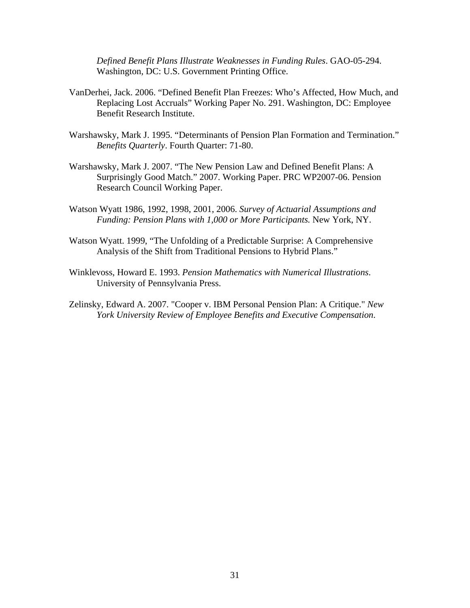*Defined Benefit Plans Illustrate Weaknesses in Funding Rules*. GAO-05-294. Washington, DC: U.S. Government Printing Office.

- VanDerhei, Jack. 2006. "Defined Benefit Plan Freezes: Who's Affected, How Much, and Replacing Lost Accruals" Working Paper No. 291. Washington, DC: Employee Benefit Research Institute.
- Warshawsky, Mark J. 1995. "Determinants of Pension Plan Formation and Termination." *Benefits Quarterly*. Fourth Quarter: 71-80.
- Warshawsky, Mark J. 2007. "The New Pension Law and Defined Benefit Plans: A Surprisingly Good Match." 2007. Working Paper. PRC WP2007-06. Pension Research Council Working Paper.
- Watson Wyatt 1986, 1992, 1998, 2001, 2006. *Survey of Actuarial Assumptions and Funding: Pension Plans with 1,000 or More Participants.* New York, NY.
- Watson Wyatt. 1999, "The Unfolding of a Predictable Surprise: A Comprehensive Analysis of the Shift from Traditional Pensions to Hybrid Plans."
- Winklevoss, Howard E. 1993. *Pension Mathematics with Numerical Illustrations*. University of Pennsylvania Press.
- Zelinsky, Edward A. 2007. "Cooper v. IBM Personal Pension Plan: A Critique." *New York University Review of Employee Benefits and Executive Compensation*.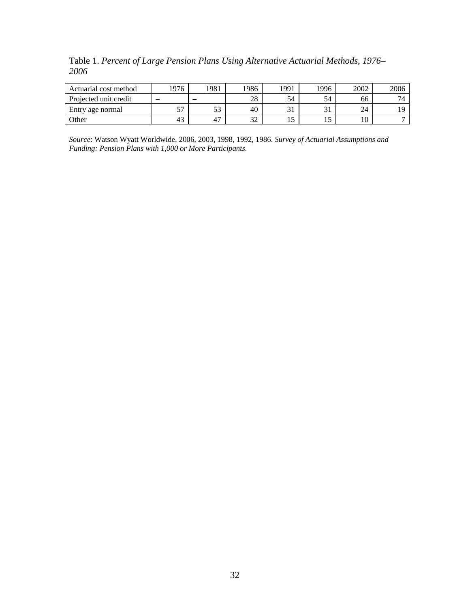Table 1. *Percent of Large Pension Plans Using Alternative Actuarial Methods, 1976– 2006* 

| Actuarial cost method | 1976 | 1981                     | !986          | 1991 | 1996         | 2002 | 2006           |
|-----------------------|------|--------------------------|---------------|------|--------------|------|----------------|
| Projected unit credit | -    | $\overline{\phantom{a}}$ | 28            | 54   | 54           | 66   | $\overline{ }$ |
| Entry age normal      | --   | IJ                       | 40            | ◡    | $\sim$<br>JІ | 24   |                |
| Other                 | 43   | 47                       | $\sim$<br>ے ر | ⊥ J  | ⊥J           | 10   |                |

*Source*: Watson Wyatt Worldwide, 2006, 2003, 1998, 1992, 1986. *Survey of Actuarial Assumptions and Funding: Pension Plans with 1,000 or More Participants.*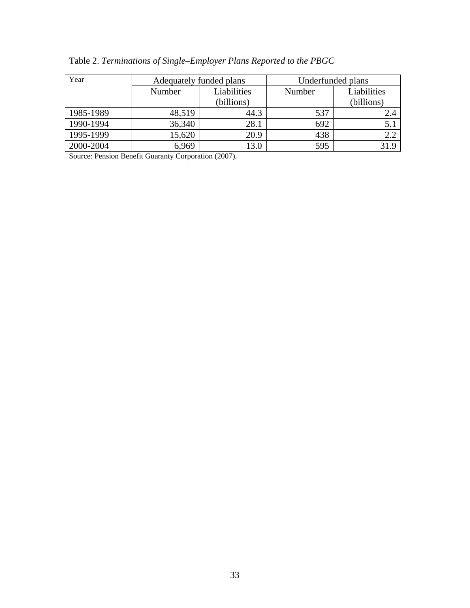| Year      |        | Adequately funded plans | Underfunded plans |             |  |  |  |
|-----------|--------|-------------------------|-------------------|-------------|--|--|--|
|           | Number | Liabilities             | Number            | Liabilities |  |  |  |
|           |        | (billions)              |                   | (billions)  |  |  |  |
| 1985-1989 | 48,519 | 44.3                    | 537               | 2.4         |  |  |  |
| 1990-1994 | 36,340 | 28.1                    | 692               | 5.1         |  |  |  |
| 1995-1999 | 15,620 | 20.9                    | 438               | 2.2         |  |  |  |
| 2000-2004 | 6,969  | 13.0                    | 595               | 31.9        |  |  |  |

Table 2. *Terminations of Single–Employer Plans Reported to the PBGC* 

Source: Pension Benefit Guaranty Corporation (2007).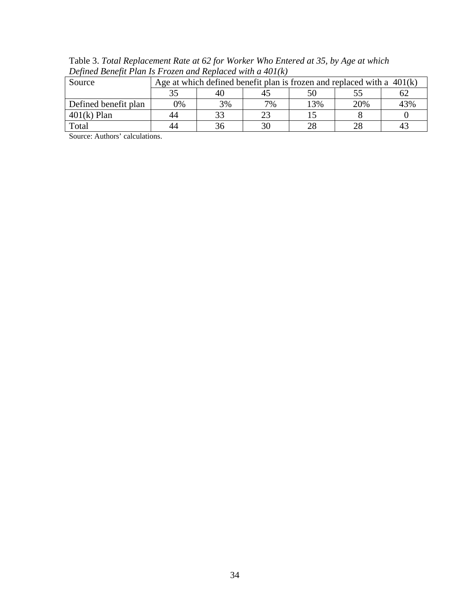Table 3. *Total Replacement Rate at 62 for Worker Who Entered at 35, by Age at which Defined Benefit Plan Is Frozen and Replaced with a 401(k)* 

| Source               |               | Age at which defined benefit plan is frozen and replaced with a $401(k)$ |    |     |     |     |  |  |  |  |  |
|----------------------|---------------|--------------------------------------------------------------------------|----|-----|-----|-----|--|--|--|--|--|
|                      | 35            | 40                                                                       |    |     |     |     |  |  |  |  |  |
| Defined benefit plan | $\frac{1}{2}$ | 3%                                                                       | 7% | 13% | 20% | 43% |  |  |  |  |  |
| $401(k)$ Plan        | 44            |                                                                          |    |     |     |     |  |  |  |  |  |
| Total                | 44            | 36                                                                       |    |     | 28  |     |  |  |  |  |  |

Source: Authors' calculations.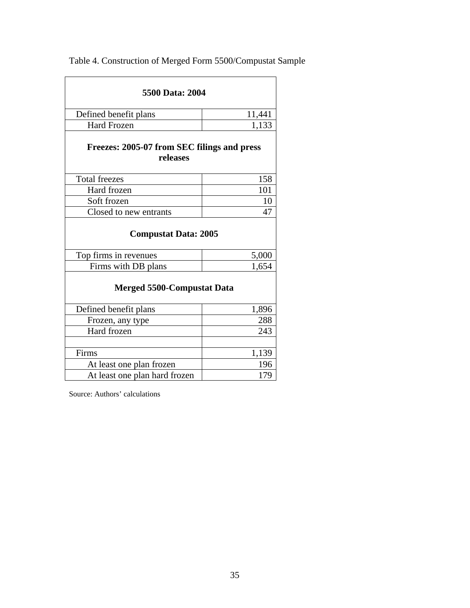| 5500 Data: 2004<br>Defined benefit plans<br>11,441<br><b>Hard Frozen</b><br>1,133<br>Freezes: 2005-07 from SEC filings and press<br>releases<br><b>Total freezes</b><br>158<br>Hard frozen<br>101<br>Soft frozen<br>10<br>Closed to new entrants<br>47 |       |  |  |  |  |  |  |  |
|--------------------------------------------------------------------------------------------------------------------------------------------------------------------------------------------------------------------------------------------------------|-------|--|--|--|--|--|--|--|
|                                                                                                                                                                                                                                                        |       |  |  |  |  |  |  |  |
|                                                                                                                                                                                                                                                        |       |  |  |  |  |  |  |  |
| <b>Compustat Data: 2005</b><br>Top firms in revenues<br>5,000<br>Firms with DB plans<br>1,654<br><b>Merged 5500-Compustat Data</b><br>Defined benefit plans<br>1,896<br>288<br>Frozen, any type<br>Hard frozen<br>243                                  |       |  |  |  |  |  |  |  |
|                                                                                                                                                                                                                                                        |       |  |  |  |  |  |  |  |
|                                                                                                                                                                                                                                                        |       |  |  |  |  |  |  |  |
|                                                                                                                                                                                                                                                        |       |  |  |  |  |  |  |  |
|                                                                                                                                                                                                                                                        |       |  |  |  |  |  |  |  |
|                                                                                                                                                                                                                                                        |       |  |  |  |  |  |  |  |
|                                                                                                                                                                                                                                                        |       |  |  |  |  |  |  |  |
|                                                                                                                                                                                                                                                        |       |  |  |  |  |  |  |  |
|                                                                                                                                                                                                                                                        |       |  |  |  |  |  |  |  |
|                                                                                                                                                                                                                                                        |       |  |  |  |  |  |  |  |
|                                                                                                                                                                                                                                                        |       |  |  |  |  |  |  |  |
|                                                                                                                                                                                                                                                        |       |  |  |  |  |  |  |  |
|                                                                                                                                                                                                                                                        |       |  |  |  |  |  |  |  |
| Firms                                                                                                                                                                                                                                                  | 1,139 |  |  |  |  |  |  |  |
| At least one plan frozen                                                                                                                                                                                                                               | 196   |  |  |  |  |  |  |  |
| At least one plan hard frozen                                                                                                                                                                                                                          | 179   |  |  |  |  |  |  |  |

Table 4. Construction of Merged Form 5500/Compustat Sample

Source: Authors' calculations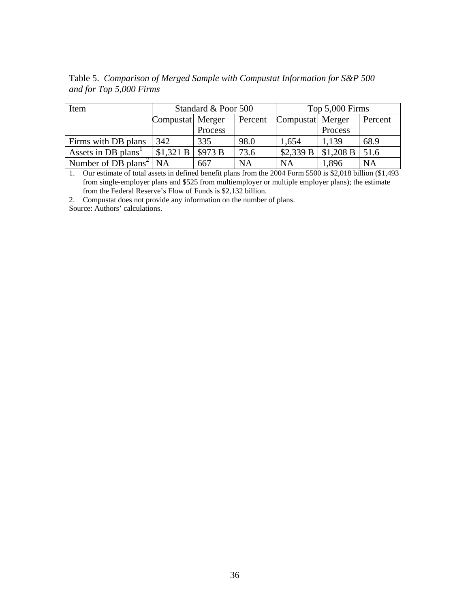| Item                                 |                  | Standard & Poor 500 |           | Top 5,000 Firms  |           |           |  |  |
|--------------------------------------|------------------|---------------------|-----------|------------------|-----------|-----------|--|--|
|                                      | Compustat Merger |                     | Percent   | Compustat Merger |           | Percent   |  |  |
|                                      |                  | Process             |           |                  | Process   |           |  |  |
| Firms with DB plans                  | 342              | 335                 | 98.0      | 1,654            | 1.139     | 68.9      |  |  |
| Assets in DB plans <sup>1</sup>      | \$1,321 B        | \$973 B             | 73.6      | \$2,339 B        | \$1,208 B | 51.6      |  |  |
| Number of DB plans <sup>2</sup> $NA$ |                  | 667                 | <b>NA</b> | NA               | 1,896     | <b>NA</b> |  |  |

Table 5. *Comparison of Merged Sample with Compustat Information for S&P 500 and for Top 5,000 Firms* 

1. Our estimate of total assets in defined benefit plans from the 2004 Form 5500 is \$2,018 billion (\$1,493 from single-employer plans and \$525 from multiemployer or multiple employer plans); the estimate from the Federal Reserve's Flow of Funds is \$2,132 billion.

2. Compustat does not provide any information on the number of plans.

Source: Authors' calculations.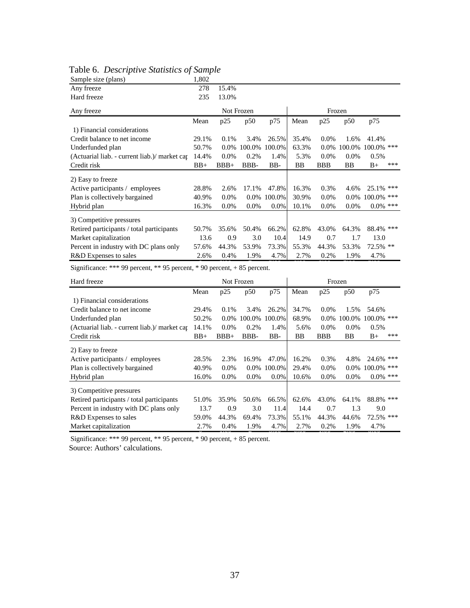| Sample size (plans)                           | 1,802 |            |         |         |           |            |         |               |     |  |
|-----------------------------------------------|-------|------------|---------|---------|-----------|------------|---------|---------------|-----|--|
| Any freeze                                    | 278   | 15.4%      |         |         |           |            |         |               |     |  |
| Hard freeze                                   | 235   | 13.0%      |         |         |           |            |         |               |     |  |
| Any freeze                                    |       | Not Frozen |         |         |           | Frozen     |         |               |     |  |
|                                               | Mean  | p25        | p50     | p75     | Mean      | p25        | p50     | p75           |     |  |
| 1) Financial considerations                   |       |            |         |         |           |            |         |               |     |  |
| Credit balance to net income                  | 29.1% | 0.1%       | 3.4%    | 26.5%   | 35.4%     | $0.0\%$    | 1.6%    | 41.4%         |     |  |
| Underfunded plan                              | 50.7% | $0.0\%$    | 100.0%  | 100.0%  | 63.3%     | $0.0\%$    | 100.0%  | $100.0\%$ *** |     |  |
| (Actuarial liab. - current liab.)/ market cap | 14.4% | $0.0\%$    | 0.2%    | 1.4%    | 5.3%      | $0.0\%$    | $0.0\%$ | 0.5%          |     |  |
| Credit risk                                   | $BB+$ | $BBB+$     | BBB-    | BB-     | <b>BB</b> | <b>BBB</b> | BB      | $B+$          | *** |  |
| 2) Easy to freeze                             |       |            |         |         |           |            |         |               |     |  |
| Active participants / employees               | 28.8% | 2.6%       | 17.1%   | 47.8%   | 16.3%     | 0.3%       | 4.6%    | $25.1\%$ ***  |     |  |
| Plan is collectively bargained                | 40.9% | $0.0\%$    | $0.0\%$ | 100.0%  | 30.9%     | $0.0\%$    | $0.0\%$ | 100.0% ***    |     |  |
| Hybrid plan                                   | 16.3% | $0.0\%$    | 0.0%    | $0.0\%$ | 10.1%     | $0.0\%$    | 0.0%    | $0.0\%$ ***   |     |  |
| 3) Competitive pressures                      |       |            |         |         |           |            |         |               |     |  |
| Retired participants / total participants     | 50.7% | 35.6%      | 50.4%   | 66.2%   | 62.8%     | 43.0%      | 64.3%   | 88.4% ***     |     |  |
| Market capitalization                         | 13.6  | 0.9        | 3.0     | 10.4    | 14.9      | 0.7        | 1.7     | 13.0          |     |  |
| Percent in industry with DC plans only        | 57.6% | 44.3%      | 53.9%   | 73.3%   | 55.3%     | 44.3%      | 53.3%   | $72.5\%$ **   |     |  |
| R&D Expenses to sales                         | 2.6%  | 0.4%       | 1.9%    | 4.7%    | 2.7%      | 0.2%       | 1.9%    | 4.7%          |     |  |

# Table 6. *Descriptive Statistics of Sample*

Significance: \*\*\* 99 percent, \*\* 95 percent, \* 90 percent,  $+ 85$  percent.

| Hard freeze                                  |       |         | Not Frozen |               | Frozen |            |           |               |     |
|----------------------------------------------|-------|---------|------------|---------------|--------|------------|-----------|---------------|-----|
|                                              | Mean  | p25     | p50        | p75           | Mean   | p25        | p50       | p75           |     |
| 1) Financial considerations                  |       |         |            |               |        |            |           |               |     |
| Credit balance to net income                 | 29.4% | $0.1\%$ | 3.4%       | 26.2%         | 34.7%  | $0.0\%$    | 1.5%      | 54.6%         |     |
| Underfunded plan                             | 50.2% | $0.0\%$ |            | 100.0% 100.0% | 68.9%  | $0.0\%$    | 100.0%    | $100.0\%$ *** |     |
| (Actuarial liab. - current liab.) market car | 14.1% | $0.0\%$ | $0.2\%$    | 1.4%          | 5.6%   | $0.0\%$    | $0.0\%$   | $0.5\%$       |     |
| Credit risk                                  | $BB+$ | $BBB+$  | BBB-       | $BB-$         | BB     | <b>BBB</b> | <b>BB</b> | $B+$          | *** |
| 2) Easy to freeze                            |       |         |            |               |        |            |           |               |     |
| Active participants / employees              | 28.5% | 2.3%    | 16.9%      | 47.0%         | 16.2%  | 0.3%       | 4.8%      | $24.6\%$ ***  |     |
| Plan is collectively bargained               | 40.9% | $0.0\%$ | $0.0\%$    | 100.0%        | 29.4%  | $0.0\%$    | $0.0\%$   | $100.0\%$ *** |     |
| Hybrid plan                                  | 16.0% | $0.0\%$ | $0.0\%$    | $0.0\%$       | 10.6%  | $0.0\%$    | $0.0\%$   | $0.0\%$ ***   |     |
| 3) Competitive pressures                     |       |         |            |               |        |            |           |               |     |
| Retired participants / total participants    | 51.0% | 35.9%   | 50.6%      | 66.5%         | 62.6%  | 43.0%      | 64.1%     | 88.8% ***     |     |
| Percent in industry with DC plans only       | 13.7  | 0.9     | 3.0        | 11.4          | 14.4   | 0.7        | 1.3       | 9.0           |     |
| R&D Expenses to sales                        | 59.0% | 44.3%   | 69.4%      | 73.3%         | 55.1%  | 44.3%      | 44.6%     | 72.5% ***     |     |
| Market capitalization                        | 2.7%  | 0.4%    | 1.9%       | 4.7%          | 2.7%   | 0.2%       | 1.9%      | 4.7%          |     |

Significance: \*\*\* 99 percent, \*\* 95 percent, \* 90 percent, + 85 percent.

Source: Authors' calculations.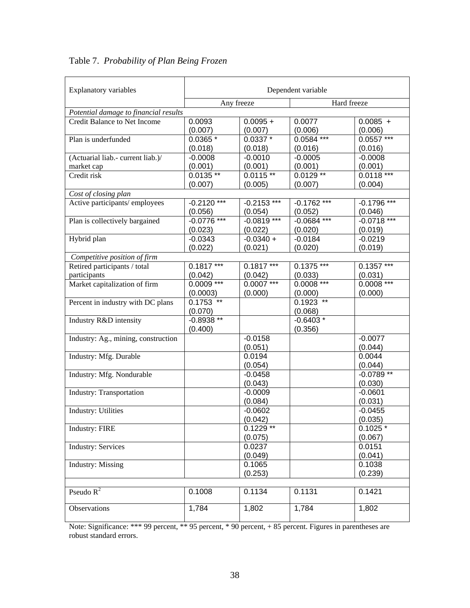| <b>Explanatory variables</b>          | Dependent variable |               |               |               |  |  |  |  |  |
|---------------------------------------|--------------------|---------------|---------------|---------------|--|--|--|--|--|
|                                       | Any freeze         |               | Hard freeze   |               |  |  |  |  |  |
| Potential damage to financial results |                    |               |               |               |  |  |  |  |  |
| <b>Credit Balance to Net Income</b>   | 0.0093             | $0.0095 +$    | 0.0077        | $0.0085 +$    |  |  |  |  |  |
|                                       | (0.007)            | (0.007)       | (0.006)       | (0.006)       |  |  |  |  |  |
| Plan is underfunded                   | $0.0365*$          | $0.0337*$     | $0.0584***$   | $0.0557***$   |  |  |  |  |  |
|                                       | (0.018)            | (0.018)       | (0.016)       | (0.016)       |  |  |  |  |  |
| (Actuarial liab.- current liab.)/     | $-0.0008$          | $-0.0010$     | $-0.0005$     | $-0.0008$     |  |  |  |  |  |
| market cap                            | (0.001)            | (0.001)       | (0.001)       | (0.001)       |  |  |  |  |  |
| Credit risk                           | $0.0135**$         | $0.0115**$    | $0.0129**$    | $0.0118***$   |  |  |  |  |  |
|                                       | (0.007)            | (0.005)       | (0.007)       | (0.004)       |  |  |  |  |  |
| Cost of closing plan                  |                    |               |               |               |  |  |  |  |  |
| Active participants/employees         | $-0.2120$ ***      | $-0.2153$ *** | $-0.1762$ *** | $-0.1796$ *** |  |  |  |  |  |
|                                       | (0.056)            | (0.054)       | (0.052)       | (0.046)       |  |  |  |  |  |
| Plan is collectively bargained        | $-0.0776$ ***      | $-0.0819***$  | $-0.0684$ *** | $-0.0718$ *** |  |  |  |  |  |
|                                       | (0.023)            | (0.022)       | (0.020)       | (0.019)       |  |  |  |  |  |
| Hybrid plan                           | $-0.0343$          | $-0.0340 +$   | $-0.0184$     | $-0.0219$     |  |  |  |  |  |
|                                       | (0.022)            | (0.021)       | (0.020)       | (0.019)       |  |  |  |  |  |
| Competitive position of firm          |                    |               |               |               |  |  |  |  |  |
| Retired participants / total          | $0.1817$ ***       | $0.1817$ ***  | $0.1375$ ***  | $0.1357$ ***  |  |  |  |  |  |
| participants                          | (0.042)            | (0.042)       | (0.033)       | (0.031)       |  |  |  |  |  |
| Market capitalization of firm         | $0.0009***$        | $0.0007***$   | $0.0008***$   | $0.0008***$   |  |  |  |  |  |
|                                       | (0.0003)           | (0.000)       | (0.000)       | (0.000)       |  |  |  |  |  |
| Percent in industry with DC plans     | $0.1753$ **        |               | $0.1923$ **   |               |  |  |  |  |  |
|                                       | (0.070)            |               | (0.068)       |               |  |  |  |  |  |
| Industry R&D intensity                | $-0.8938**$        |               | $-0.6403*$    |               |  |  |  |  |  |
|                                       | (0.400)            |               | (0.356)       |               |  |  |  |  |  |
| Industry: Ag., mining, construction   |                    | $-0.0158$     |               | $-0.0077$     |  |  |  |  |  |
|                                       |                    | (0.051)       |               | (0.044)       |  |  |  |  |  |
| Industry: Mfg. Durable                |                    | 0.0194        |               | 0.0044        |  |  |  |  |  |
|                                       |                    | (0.054)       |               | (0.044)       |  |  |  |  |  |
| Industry: Mfg. Nondurable             |                    | $-0.0458$     |               | $-0.0789**$   |  |  |  |  |  |
|                                       |                    | (0.043)       |               | (0.030)       |  |  |  |  |  |
| <b>Industry: Transportation</b>       |                    | $-0.0009$     |               | $-0.0601$     |  |  |  |  |  |
|                                       |                    | (0.084)       |               | (0.031)       |  |  |  |  |  |
| <b>Industry: Utilities</b>            |                    | $-0.0602$     |               | $-0.0455$     |  |  |  |  |  |
|                                       |                    | (0.042)       |               | (0.035)       |  |  |  |  |  |
| Industry: FIRE                        |                    | $0.1229$ **   |               | $0.1025*$     |  |  |  |  |  |
|                                       |                    | (0.075)       |               | (0.067)       |  |  |  |  |  |
| <b>Industry: Services</b>             |                    | 0.0237        |               | 0.0151        |  |  |  |  |  |
|                                       |                    | (0.049)       |               | (0.041)       |  |  |  |  |  |
| <b>Industry: Missing</b>              |                    | 0.1065        |               | 0.1038        |  |  |  |  |  |
|                                       |                    | (0.253)       |               | (0.239)       |  |  |  |  |  |
|                                       |                    |               |               |               |  |  |  |  |  |
| Pseudo $R^2$                          | 0.1008             | 0.1134        | 0.1131        | 0.1421        |  |  |  |  |  |
| Observations                          | 1,784              | 1,802         | 1,784         | 1,802         |  |  |  |  |  |

Table 7. *Probability of Plan Being Frozen* 

Note: Significance: \*\*\* robust standard errors. 99 percent, \*\* 95 percent, \* 90 percent, + 85 percent. Figures in parentheses are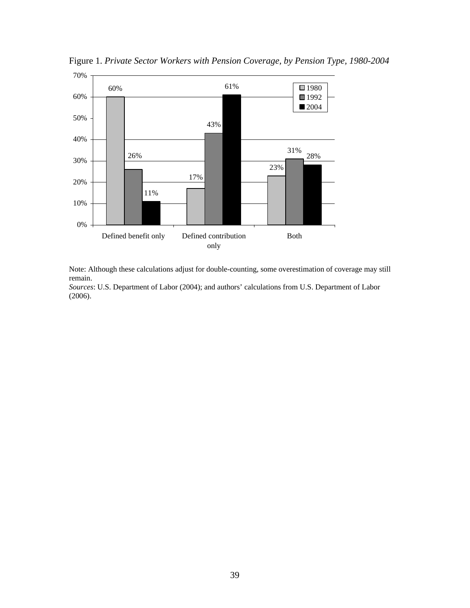

Figure 1. *Private Sector Workers with Pension Coverage, by Pension Type, 1980-2004*

Note: Although these calculations adjust for double-counting, some overestimation of coverage may still remain.

*Sources*: U.S. Department of Labor (2004); and authors' calculations from U.S. Department of Labor (2006).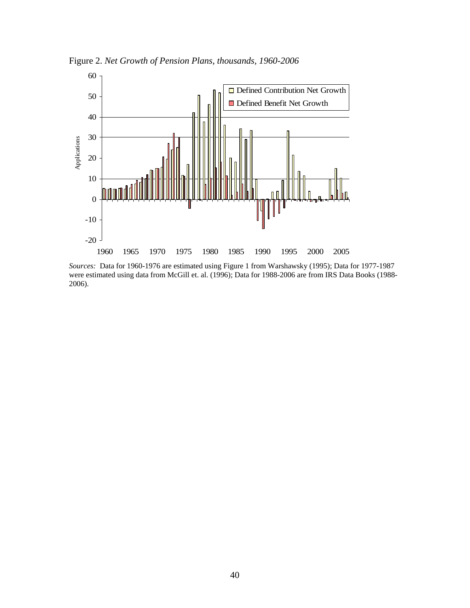

Figure 2. *Net Growth of Pension Plans, thousands, 1960-2006* 

*Sources:* Data for 1960-1976 are estimated using Figure 1 from Warshawsky (1995); Data for 1977-1987 were estimated using data from McGill et. al. (1996); Data for 1988-2006 are from IRS Data Books (1988- 2006).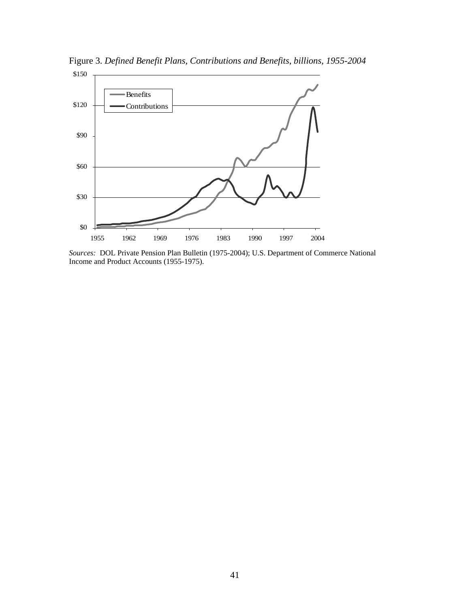

Figure 3. *Defined Benefit Plans, Contributions and Benefits, billions, 1955-2004* 

*Sources:* DOL Private Pension Plan Bulletin (1975-2004); U.S. Department of Commerce National Income and Product Accounts (1955-1975).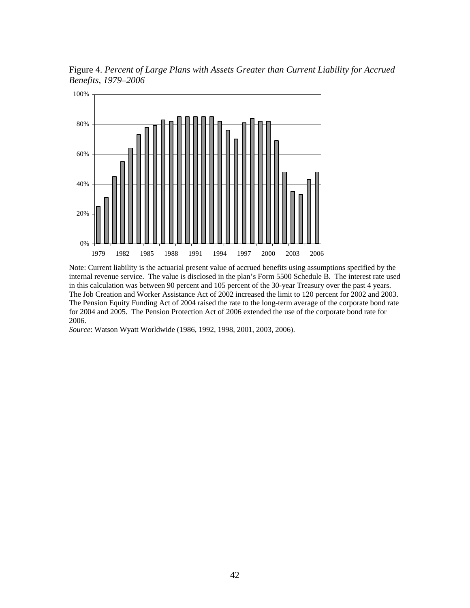Figure 4. *Percent of Large Plans with Assets Greater than Current Liability for Accrued Benefits, 1979–2006* 



Note: Current liability is the actuarial present value of accrued benefits using assumptions specified by the internal revenue service. The value is disclosed in the plan's Form 5500 Schedule B. The interest rate used in this calculation was between 90 percent and 105 percent of the 30-year Treasury over the past 4 years. The Job Creation and Worker Assistance Act of 2002 increased the limit to 120 percent for 2002 and 2003. The Pension Equity Funding Act of 2004 raised the rate to the long-term average of the corporate bond rate for 2004 and 2005. The Pension Protection Act of 2006 extended the use of the corporate bond rate for 2006.

*Source*: Watson Wyatt Worldwide (1986, 1992, 1998, 2001, 2003, 2006).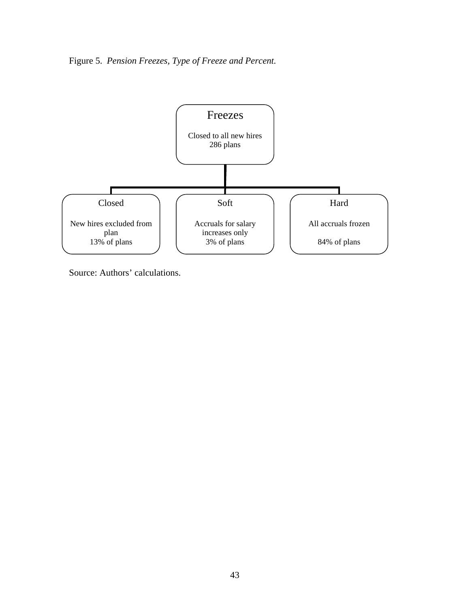Figure 5. *Pension Freezes, Type of Freeze and Percent.* 



Source: Authors' calculations.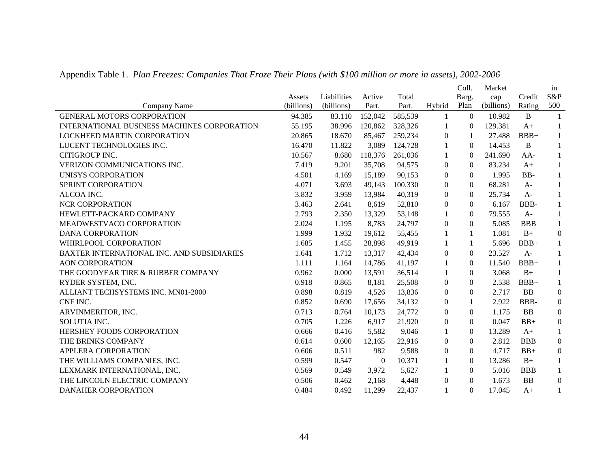|                                             | Assets     | Liabilities | Active       | Total   |                  | Coll.<br>Barg.   | Market<br>cap | Credit     | in<br>S&P        |
|---------------------------------------------|------------|-------------|--------------|---------|------------------|------------------|---------------|------------|------------------|
| Company Name                                | (billions) | (billions)  | Part.        | Part.   | Hybrid           | Plan             | (billions)    | Rating     | 500              |
| <b>GENERAL MOTORS CORPORATION</b>           | 94.385     | 83.110      | 152,042      | 585,539 | $\mathbf{1}$     | $\theta$         | 10.982        | B          |                  |
| INTERNATIONAL BUSINESS MACHINES CORPORATION | 55.195     | 38.996      | 120,862      | 328,326 | 1                | $\theta$         | 129.381       | $A+$       | 1                |
| <b>LOCKHEED MARTIN CORPORATION</b>          | 20.865     | 18.670      | 85,467       | 259,234 | $\boldsymbol{0}$ | 1                | 27.488        | $BBB+$     | 1                |
| LUCENT TECHNOLOGIES INC.                    | 16.470     | 11.822      | 3,089        | 124,728 | $\mathbf{1}$     | $\Omega$         | 14.453        | B          | 1                |
| CITIGROUP INC.                              | 10.567     | 8.680       | 118,376      | 261,036 | 1                | $\Omega$         | 241.690       | $AA-$      | 1                |
| VERIZON COMMUNICATIONS INC.                 | 7.419      | 9.201       | 35,708       | 94,575  | $\boldsymbol{0}$ | $\theta$         | 83.234        | $A+$       | 1                |
| UNISYS CORPORATION                          | 4.501      | 4.169       | 15,189       | 90,153  | $\Omega$         | $\Omega$         | 1.995         | BB-        | 1                |
| SPRINT CORPORATION                          | 4.071      | 3.693       | 49,143       | 100,330 | $\overline{0}$   | $\Omega$         | 68.281        | $A-$       |                  |
| ALCOA INC.                                  | 3.832      | 3.959       | 13,984       | 40,319  | $\overline{0}$   | $\overline{0}$   | 25.734        | $A-$       | 1                |
| <b>NCR CORPORATION</b>                      | 3.463      | 2.641       | 8,619        | 52,810  | $\Omega$         | $\Omega$         | 6.167         | BBB-       | $\mathbf{1}$     |
| HEWLETT-PACKARD COMPANY                     | 2.793      | 2.350       | 13,329       | 53,148  | 1                | $\Omega$         | 79.555        | $A-$       | 1                |
| MEADWESTVACO CORPORATION                    | 2.024      | 1.195       | 8,783        | 24,797  | $\boldsymbol{0}$ | $\theta$         | 5.085         | <b>BBB</b> | $\mathbf{1}$     |
| <b>DANA CORPORATION</b>                     | 1.999      | 1.932       | 19,612       | 55,455  | 1                | 1                | 1.081         | $B+$       | $\boldsymbol{0}$ |
| WHIRLPOOL CORPORATION                       | 1.685      | 1.455       | 28,898       | 49,919  |                  |                  | 5.696         | $BBB+$     | 1                |
| BAXTER INTERNATIONAL INC. AND SUBSIDIARIES  | 1.641      | 1.712       | 13,317       | 42,434  | $\boldsymbol{0}$ | $\boldsymbol{0}$ | 23.527        | $A-$       | 1                |
| <b>AON CORPORATION</b>                      | 1.111      | 1.164       | 14,786       | 41,197  | 1                | $\Omega$         | 11.540        | $BBB+$     | $\mathbf{1}$     |
| THE GOODYEAR TIRE & RUBBER COMPANY          | 0.962      | 0.000       | 13,591       | 36,514  |                  | $\Omega$         | 3.068         | $B+$       | 1                |
| RYDER SYSTEM, INC.                          | 0.918      | 0.865       | 8,181        | 25,508  | $\boldsymbol{0}$ | $\Omega$         | 2.538         | $BBB+$     | $\mathbf{1}$     |
| ALLIANT TECHSYSTEMS INC. MN01-2000          | 0.898      | 0.819       | 4,526        | 13,836  | $\Omega$         | $\Omega$         | 2.717         | <b>BB</b>  | $\boldsymbol{0}$ |
| CNF INC.                                    | 0.852      | 0.690       | 17,656       | 34,132  | $\boldsymbol{0}$ | 1                | 2.922         | BBB-       | $\boldsymbol{0}$ |
| ARVINMERITOR, INC.                          | 0.713      | 0.764       | 10,173       | 24,772  | $\boldsymbol{0}$ | $\Omega$         | 1.175         | <b>BB</b>  | $\overline{0}$   |
| SOLUTIA INC.                                | 0.705      | 1.226       | 6,917        | 21,920  | $\Omega$         | $\Omega$         | 0.047         | $BB+$      | $\boldsymbol{0}$ |
| HERSHEY FOODS CORPORATION                   | 0.666      | 0.416       | 5,582        | 9,046   |                  | $\theta$         | 13.289        | $A+$       | 1                |
| THE BRINKS COMPANY                          | 0.614      | 0.600       | 12,165       | 22,916  | $\boldsymbol{0}$ | $\theta$         | 2.812         | <b>BBB</b> | $\boldsymbol{0}$ |
| APPLERA CORPORATION                         | 0.606      | 0.511       | 982          | 9,588   | $\Omega$         | $\Omega$         | 4.717         | $BB+$      | $\boldsymbol{0}$ |
| THE WILLIAMS COMPANIES, INC.                | 0.599      | 0.547       | $\mathbf{0}$ | 10,371  |                  | $\boldsymbol{0}$ | 13.286        | $B+$       | 1                |
| LEXMARK INTERNATIONAL, INC.                 | 0.569      | 0.549       | 3,972        | 5,627   | 1                | $\overline{0}$   | 5.016         | <b>BBB</b> | 1                |
| THE LINCOLN ELECTRIC COMPANY                | 0.506      | 0.462       | 2,168        | 4,448   | $\overline{0}$   | $\Omega$         | 1.673         | ${\bf BB}$ | $\mathbf{0}$     |
| <b>DANAHER CORPORATION</b>                  | 0.484      | 0.492       | 11,299       | 22,437  |                  | $\Omega$         | 17.045        | $A+$       |                  |

Appendix Table 1. *Plan Freezes: Companies That Froze Their Plans (with \$100 million or more in assets), 2002-2006*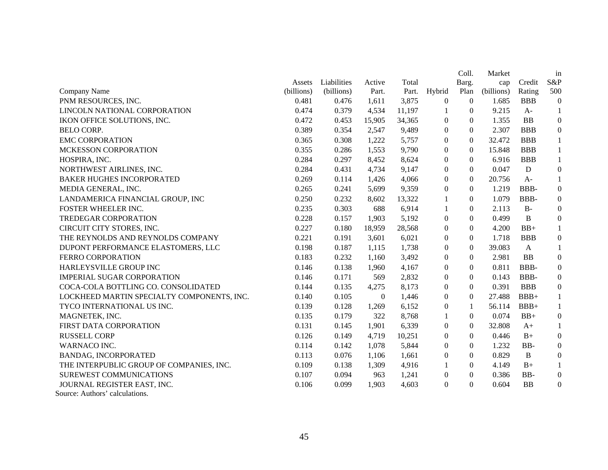|                                            |            |             |                |        |                  | Coll.          | Market     |              | in               |
|--------------------------------------------|------------|-------------|----------------|--------|------------------|----------------|------------|--------------|------------------|
|                                            | Assets     | Liabilities | Active         | Total  |                  | Barg.          | cap        | Credit       | S&P              |
| Company Name                               | (billions) | (billions)  | Part.          | Part.  | Hybrid           | Plan           | (billions) | Rating       | 500              |
| PNM RESOURCES, INC.                        | 0.481      | 0.476       | 1,611          | 3,875  | $\overline{0}$   | $\overline{0}$ | 1.685      | <b>BBB</b>   | $\boldsymbol{0}$ |
| LINCOLN NATIONAL CORPORATION               | 0.474      | 0.379       | 4,534          | 11,197 | 1                | $\overline{0}$ | 9.215      | $A-$         | $\mathbf{1}$     |
| IKON OFFICE SOLUTIONS, INC.                | 0.472      | 0.453       | 15,905         | 34,365 | $\mathbf{0}$     | $\Omega$       | 1.355      | BB           | $\boldsymbol{0}$ |
| <b>BELO CORP.</b>                          | 0.389      | 0.354       | 2,547          | 9,489  | $\theta$         | $\Omega$       | 2.307      | <b>BBB</b>   | $\boldsymbol{0}$ |
| <b>EMC CORPORATION</b>                     | 0.365      | 0.308       | 1,222          | 5,757  | $\theta$         | $\overline{0}$ | 32.472     | <b>BBB</b>   | $\mathbf{1}$     |
| MCKESSON CORPORATION                       | 0.355      | 0.286       | 1,553          | 9,790  | $\Omega$         | $\Omega$       | 15.848     | <b>BBB</b>   | $\mathbf{1}$     |
| HOSPIRA, INC.                              | 0.284      | 0.297       | 8,452          | 8,624  | $\Omega$         | $\Omega$       | 6.916      | <b>BBB</b>   | $\mathbf{1}$     |
| NORTHWEST AIRLINES, INC.                   | 0.284      | 0.431       | 4,734          | 9,147  | $\boldsymbol{0}$ | $\Omega$       | 0.047      | ${\bf D}$    | $\boldsymbol{0}$ |
| <b>BAKER HUGHES INCORPORATED</b>           | 0.269      | 0.114       | 1,426          | 4,066  | $\Omega$         | $\Omega$       | 20.756     | $A-$         | $\mathbf{1}$     |
| MEDIA GENERAL, INC.                        | 0.265      | 0.241       | 5,699          | 9,359  | $\mathbf{0}$     | $\Omega$       | 1.219      | BBB-         | $\boldsymbol{0}$ |
| LANDAMERICA FINANCIAL GROUP, INC           | 0.250      | 0.232       | 8,602          | 13,322 | 1                | $\Omega$       | 1.079      | BBB-         | $\boldsymbol{0}$ |
| FOSTER WHEELER INC.                        | 0.235      | 0.303       | 688            | 6,914  | $\mathbf{1}$     | $\Omega$       | 2.113      | $B-$         | $\boldsymbol{0}$ |
| TREDEGAR CORPORATION                       | 0.228      | 0.157       | 1,903          | 5,192  | $\overline{0}$   | $\overline{0}$ | 0.499      | B            | $\boldsymbol{0}$ |
| CIRCUIT CITY STORES, INC.                  | 0.227      | 0.180       | 18,959         | 28,568 | $\Omega$         | $\Omega$       | 4.200      | $BB+$        | $\mathbf{1}$     |
| THE REYNOLDS AND REYNOLDS COMPANY          | 0.221      | 0.191       | 3,601          | 6,021  | $\Omega$         | $\Omega$       | 1.718      | <b>BBB</b>   | $\boldsymbol{0}$ |
| DUPONT PERFORMANCE ELASTOMERS, LLC         | 0.198      | 0.187       | 1,115          | 1,738  | $\boldsymbol{0}$ | $\Omega$       | 39.083     | $\mathbf{A}$ | $\mathbf{1}$     |
| FERRO CORPORATION                          | 0.183      | 0.232       | 1,160          | 3,492  | $\overline{0}$   | $\overline{0}$ | 2.981      | <b>BB</b>    | $\boldsymbol{0}$ |
| HARLEYSVILLE GROUP INC                     | 0.146      | 0.138       | 1,960          | 4,167  | $\Omega$         | $\Omega$       | 0.811      | BBB-         | $\boldsymbol{0}$ |
| <b>IMPERIAL SUGAR CORPORATION</b>          | 0.146      | 0.171       | 569            | 2,832  | $\Omega$         | $\Omega$       | 0.143      | BBB-         | $\boldsymbol{0}$ |
| COCA-COLA BOTTLING CO. CONSOLIDATED        | 0.144      | 0.135       | 4,275          | 8,173  | $\Omega$         | $\Omega$       | 0.391      | <b>BBB</b>   | $\boldsymbol{0}$ |
| LOCKHEED MARTIN SPECIALTY COMPONENTS, INC. | 0.140      | 0.105       | $\overline{0}$ | 1,446  | $\mathbf{0}$     | $\Omega$       | 27.488     | $BBB+$       | 1                |
| TYCO INTERNATIONAL US INC.                 | 0.139      | 0.128       | 1,269          | 6,152  | $\mathbf{0}$     | 1              | 56.114     | $BBB+$       | $\mathbf{1}$     |
| MAGNETEK, INC.                             | 0.135      | 0.179       | 322            | 8,768  |                  | $\overline{0}$ | 0.074      | $BB+$        | $\boldsymbol{0}$ |
| FIRST DATA CORPORATION                     | 0.131      | 0.145       | 1,901          | 6,339  | $\mathbf{0}$     | $\overline{0}$ | 32.808     | $A+$         | $\mathbf{1}$     |
| <b>RUSSELL CORP</b>                        | 0.126      | 0.149       | 4,719          | 10,251 | $\boldsymbol{0}$ | $\overline{0}$ | 0.446      | $B+$         | $\boldsymbol{0}$ |
| WARNACO INC.                               | 0.114      | 0.142       | 1,078          | 5,844  | $\Omega$         | $\Omega$       | 1.232      | BB-          | $\boldsymbol{0}$ |
| <b>BANDAG, INCORPORATED</b>                | 0.113      | 0.076       | 1,106          | 1,661  | $\mathbf{0}$     | $\Omega$       | 0.829      | $\mathbf B$  | $\boldsymbol{0}$ |
| THE INTERPUBLIC GROUP OF COMPANIES, INC.   | 0.109      | 0.138       | 1,309          | 4,916  | 1                | $\Omega$       | 4.149      | $B+$         | $\mathbf{1}$     |
| <b>SUREWEST COMMUNICATIONS</b>             | 0.107      | 0.094       | 963            | 1,241  | $\mathbf{0}$     | $\overline{0}$ | 0.386      | BB-          | $\boldsymbol{0}$ |
| JOURNAL REGISTER EAST, INC.                | 0.106      | 0.099       | 1,903          | 4,603  | $\Omega$         | $\Omega$       | 0.604      | <b>BB</b>    | $\boldsymbol{0}$ |
| Source: Authors' calculations.             |            |             |                |        |                  |                |            |              |                  |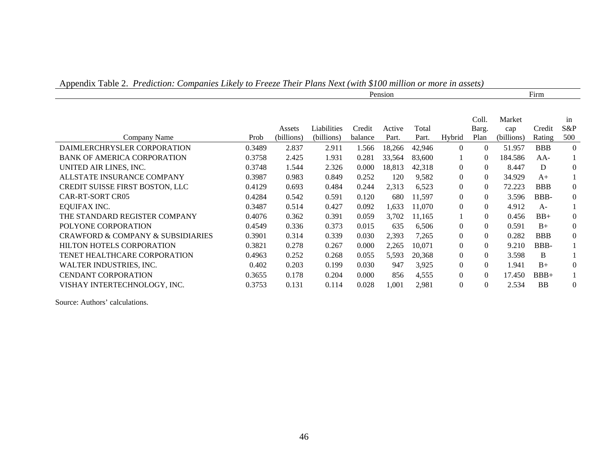| - - г г<br>. <u>.</u>                            |        |            |             | Firm    |        |        |                |          |            |            |                |
|--------------------------------------------------|--------|------------|-------------|---------|--------|--------|----------------|----------|------------|------------|----------------|
|                                                  |        |            |             |         |        |        |                |          |            |            |                |
|                                                  |        |            |             |         |        |        |                | Coll.    | Market     |            | in             |
|                                                  |        | Assets     | Liabilities | Credit  | Active | Total  |                | Barg.    | cap        | Credit     | S&P            |
| Company Name                                     | Prob   | (billions) | (billions)  | balance | Part.  | Part.  | Hybrid         | Plan     | (billions) | Rating     | 500            |
| DAIMLERCHRYSLER CORPORATION                      | 0.3489 | 2.837      | 2.911       | 1.566   | 18,266 | 42,946 | $\Omega$       | $\Omega$ | 51.957     | <b>BBB</b> | $\theta$       |
| <b>BANK OF AMERICA CORPORATION</b>               | 0.3758 | 2.425      | 1.931       | 0.281   | 33,564 | 83,600 |                | 0        | 184.586    | $AA-$      |                |
| UNITED AIR LINES, INC.                           | 0.3748 | 1.544      | 2.326       | 0.000   | 18,813 | 42,318 | $\Omega$       | $\Omega$ | 8.447      | D          | $\overline{0}$ |
| ALLSTATE INSURANCE COMPANY                       | 0.3987 | 0.983      | 0.849       | 0.252   | 120    | 9,582  | $\Omega$       | $\Omega$ | 34.929     | $A+$       |                |
| CREDIT SUISSE FIRST BOSTON, LLC                  | 0.4129 | 0.693      | 0.484       | 0.244   | 2,313  | 6,523  | $\Omega$       | $\Omega$ | 72.223     | <b>BBB</b> | $\overline{0}$ |
| <b>CAR-RT-SORT CR05</b>                          | 0.4284 | 0.542      | 0.591       | 0.120   | 680    | 11,597 | $\overline{0}$ | $\Omega$ | 3.596      | BBB-       | $\overline{0}$ |
| <b>EQUIFAX INC.</b>                              | 0.3487 | 0.514      | 0.427       | 0.092   | 1,633  | 11,070 | $\Omega$       | $\theta$ | 4.912      | $A-$       |                |
| THE STANDARD REGISTER COMPANY                    | 0.4076 | 0.362      | 0.391       | 0.059   | 3,702  | 11,165 |                | $\theta$ | 0.456      | $BB+$      | $\theta$       |
| POLYONE CORPORATION                              | 0.4549 | 0.336      | 0.373       | 0.015   | 635    | 6,506  | $\Omega$       | $\Omega$ | 0.591      | $B+$       | $\overline{0}$ |
| <b>CRAWFORD &amp; COMPANY &amp; SUBSIDIARIES</b> | 0.3901 | 0.314      | 0.339       | 0.030   | 2,393  | 7,265  | $\Omega$       | $\Omega$ | 0.282      | <b>BBB</b> | $\overline{0}$ |
| <b>HILTON HOTELS CORPORATION</b>                 | 0.3821 | 0.278      | 0.267       | 0.000   | 2,265  | 10.071 | $\overline{0}$ | $\Omega$ | 9.210      | BBB-       |                |
| TENET HEALTHCARE CORPORATION                     | 0.4963 | 0.252      | 0.268       | 0.055   | 5,593  | 20,368 | $\Omega$       | $\Omega$ | 3.598      | B          |                |
| WALTER INDUSTRIES, INC.                          | 0.402  | 0.203      | 0.199       | 0.030   | 947    | 3,925  | $\overline{0}$ | $\Omega$ | 1.941      | $B+$       | $\theta$       |
| <b>CENDANT CORPORATION</b>                       | 0.3655 | 0.178      | 0.204       | 0.000   | 856    | 4,555  | $\Omega$       | $\Omega$ | 17.450     | $BBB+$     |                |
| VISHAY INTERTECHNOLOGY, INC.                     | 0.3753 | 0.131      | 0.114       | 0.028   | 1,001  | 2,981  | $\theta$       | $\Omega$ | 2.534      | <b>BB</b>  | $\Omega$       |

Appendix Table 2. *Prediction: Companies Likely to Freeze Their Plans Next (with \$100 million or more in assets)*

Source: Authors' calculations.